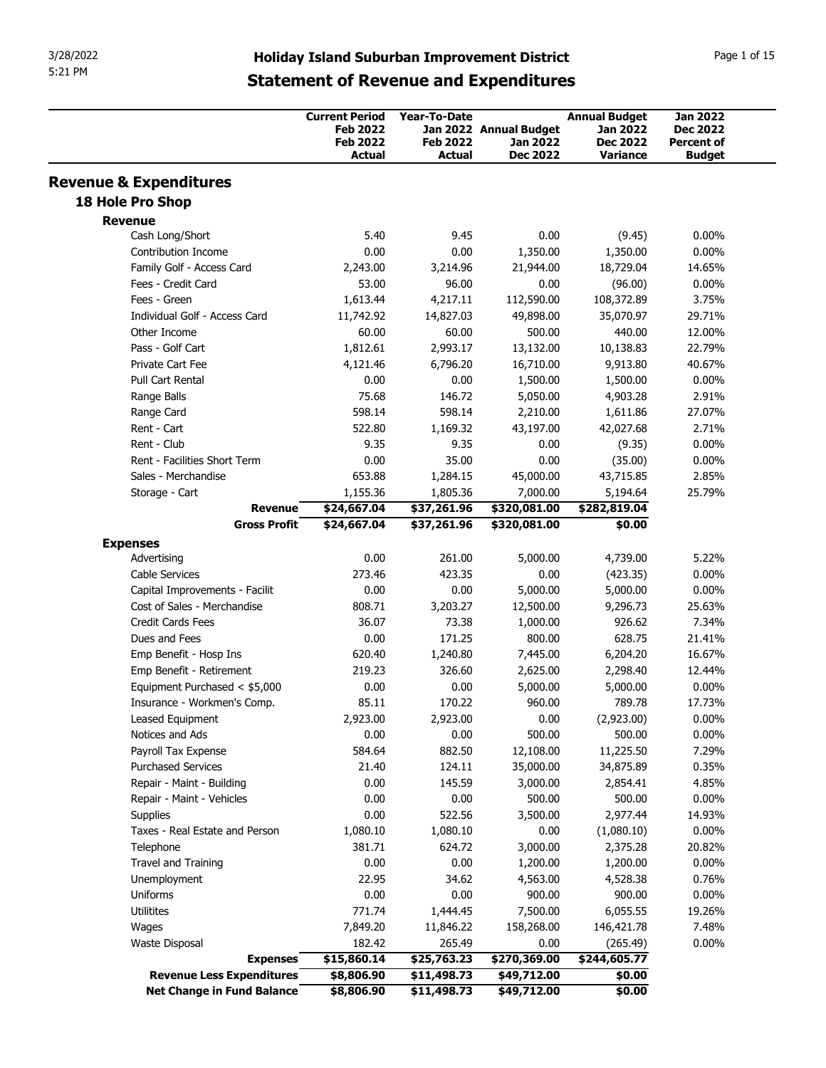| 3/28/2022<br>5:21 PM                                         | <b>Holiday Island Suburban Improvement District</b> |                            |                             |                                  |                                    |
|--------------------------------------------------------------|-----------------------------------------------------|----------------------------|-----------------------------|----------------------------------|------------------------------------|
|                                                              |                                                     |                            |                             |                                  |                                    |
|                                                              |                                                     |                            |                             |                                  |                                    |
|                                                              |                                                     |                            |                             |                                  |                                    |
|                                                              |                                                     |                            |                             |                                  |                                    |
|                                                              |                                                     |                            |                             |                                  |                                    |
|                                                              |                                                     |                            |                             |                                  |                                    |
|                                                              |                                                     |                            |                             |                                  |                                    |
|                                                              |                                                     |                            |                             |                                  |                                    |
|                                                              |                                                     |                            |                             |                                  |                                    |
|                                                              |                                                     |                            |                             |                                  |                                    |
|                                                              |                                                     |                            |                             |                                  | Page 1 of 15                       |
|                                                              | <b>Statement of Revenue and Expenditures</b>        |                            |                             |                                  |                                    |
|                                                              |                                                     |                            |                             |                                  |                                    |
|                                                              | <b>Current Period</b><br><b>Feb 2022</b>            | Year-To-Date               | Jan 2022 Annual Budget      | <b>Annual Budget</b><br>Jan 2022 | <b>Jan 2022</b><br><b>Dec 2022</b> |
|                                                              | <b>Feb 2022</b>                                     | <b>Feb 2022</b>            | Jan 2022                    | <b>Dec 2022</b>                  | Percent of                         |
|                                                              | Actual                                              | <b>Actual</b>              | <b>Dec 2022</b>             | Variance                         | <b>Budget</b>                      |
| <b>Revenue &amp; Expenditures</b>                            |                                                     |                            |                             |                                  |                                    |
| 18 Hole Pro Shop                                             |                                                     |                            |                             |                                  |                                    |
| <b>Revenue</b>                                               |                                                     |                            |                             |                                  |                                    |
| Cash Long/Short                                              | 5.40                                                | 9.45                       | 0.00                        | (9.45)                           | $0.00\%$                           |
| <b>Contribution Income</b><br>Family Golf - Access Card      | 0.00<br>2,243.00                                    | 0.00<br>3,214.96           | 1,350.00<br>21,944.00       | 1,350.00<br>18,729.04            | $0.00\%$<br>14.65%                 |
| Fees - Credit Card                                           | 53.00                                               | 96.00                      | 0.00                        | (96.00)                          | $0.00\%$                           |
| Fees - Green                                                 | 1,613.44                                            | 4,217.11                   | 112,590.00                  | 108,372.89                       | 3.75%                              |
| Individual Golf - Access Card                                | 11,742.92                                           | 14,827.03                  | 49,898.00                   | 35,070.97                        | 29.71%                             |
| Other Income                                                 | 60.00                                               | 60.00                      | 500.00                      | 440.00                           | 12.00%                             |
| Pass - Golf Cart<br>Private Cart Fee                         | 1,812.61<br>4,121.46                                | 2,993.17<br>6,796.20       | 13,132.00<br>16,710.00      | 10,138.83<br>9,913.80            | 22.79%<br>40.67%                   |
| Pull Cart Rental                                             | 0.00                                                | 0.00                       | 1,500.00                    | 1,500.00                         | $0.00\%$                           |
| Range Balls                                                  | 75.68                                               | 146.72                     | 5,050.00                    | 4,903.28                         | 2.91%                              |
| Range Card                                                   | 598.14                                              | 598.14                     | 2,210.00                    | 1,611.86                         | 27.07%                             |
| Rent - Cart                                                  | 522.80                                              | 1,169.32                   | 43,197.00                   | 42,027.68                        | 2.71%                              |
| Rent - Club<br>Rent - Facilities Short Term                  | 9.35<br>0.00                                        | 9.35<br>35.00              | 0.00<br>0.00                | (9.35)<br>(35.00)                | $0.00\%$<br>$0.00\%$               |
| Sales - Merchandise                                          | 653.88                                              | 1,284.15                   | 45,000.00                   | 43,715.85                        | 2.85%                              |
| Storage - Cart                                               | 1,155.36                                            | 1,805.36                   | 7,000.00                    | 5,194.64                         | 25.79%                             |
| <b>Revenue</b>                                               | \$24,667.04                                         | \$37,261.96                | \$320,081.00                | \$282,819.04                     |                                    |
| <b>Gross Profit</b>                                          | \$24,667.04                                         | \$37,261.96                | \$320,081.00                | \$0.00                           |                                    |
| <b>Expenses</b>                                              |                                                     |                            |                             |                                  |                                    |
| Advertising<br>Cable Services                                | 0.00<br>273.46                                      | 261.00<br>423.35           | 5,000.00<br>0.00            | 4,739.00<br>(423.35)             | 5.22%<br>$0.00\%$                  |
| Capital Improvements - Facilit                               | 0.00                                                | 0.00                       | 5,000.00                    | 5,000.00                         | $0.00\%$                           |
| Cost of Sales - Merchandise                                  | 808.71                                              | 3,203.27                   | 12,500.00                   | 9,296.73                         | 25.63%                             |
| Credit Cards Fees                                            | 36.07                                               | 73.38                      | 1,000.00                    | 926.62                           | 7.34%                              |
| Dues and Fees                                                | 0.00                                                | 171.25                     | 800.00                      | 628.75                           | 21.41%                             |
| Emp Benefit - Hosp Ins                                       | 620.40<br>219.23                                    | 1,240.80<br>326.60         | 7,445.00<br>2,625.00        | 6,204.20<br>2,298.40             | 16.67%<br>12.44%                   |
|                                                              | 0.00                                                | 0.00                       | 5,000.00                    | 5,000.00                         | $0.00\%$                           |
| Emp Benefit - Retirement                                     |                                                     | 170.22                     | 960.00                      | 789.78                           | 17.73%                             |
| Equipment Purchased < \$5,000<br>Insurance - Workmen's Comp. | 85.11                                               |                            |                             |                                  |                                    |
| Leased Equipment                                             | 2,923.00                                            | 2,923.00                   | 0.00                        | (2,923.00)                       | $0.00\%$                           |
| Notices and Ads                                              | 0.00                                                | 0.00                       | 500.00                      | 500.00                           | $0.00\%$                           |
| Payroll Tax Expense                                          | 584.64                                              | 882.50                     | 12,108.00                   | 11,225.50                        | 7.29%                              |
| <b>Purchased Services</b>                                    | 21.40                                               | 124.11                     | 35,000.00                   | 34,875.89                        | 0.35%                              |
| Repair - Maint - Building<br>Repair - Maint - Vehicles       | 0.00<br>0.00                                        | 145.59<br>0.00             | 3,000.00<br>500.00          | 2,854.41<br>500.00               | 4.85%<br>$0.00\%$                  |
| Supplies                                                     | 0.00                                                | 522.56                     | 3,500.00                    | 2,977.44                         | 14.93%                             |
| Taxes - Real Estate and Person                               | 1,080.10                                            | 1,080.10                   | 0.00                        | (1,080.10)                       | $0.00\%$                           |
| Telephone                                                    | 381.71                                              | 624.72                     | 3,000.00                    | 2,375.28                         | 20.82%                             |
| Travel and Training                                          | 0.00                                                | 0.00                       | 1,200.00                    | 1,200.00                         | $0.00\%$                           |
| Unemployment                                                 | 22.95                                               | 34.62                      | 4,563.00                    | 4,528.38                         | 0.76%                              |
| Uniforms<br>Utilitites                                       | 0.00<br>771.74                                      | 0.00<br>1,444.45           | 900.00<br>7,500.00          | 900.00<br>6,055.55               | $0.00\%$<br>19.26%                 |
| Wages                                                        | 7,849.20                                            | 11,846.22                  | 158,268.00                  | 146,421.78                       | 7.48%                              |
| Waste Disposal                                               | 182.42                                              | 265.49                     | 0.00                        | (265.49)                         | $0.00\%$                           |
| <b>Expenses</b><br><b>Revenue Less Expenditures</b>          | \$15,860.14<br>\$8,806.90                           | \$25,763.23<br>\$11,498.73 | \$270,369.00<br>\$49,712.00 | \$244,605.77<br>\$0.00           |                                    |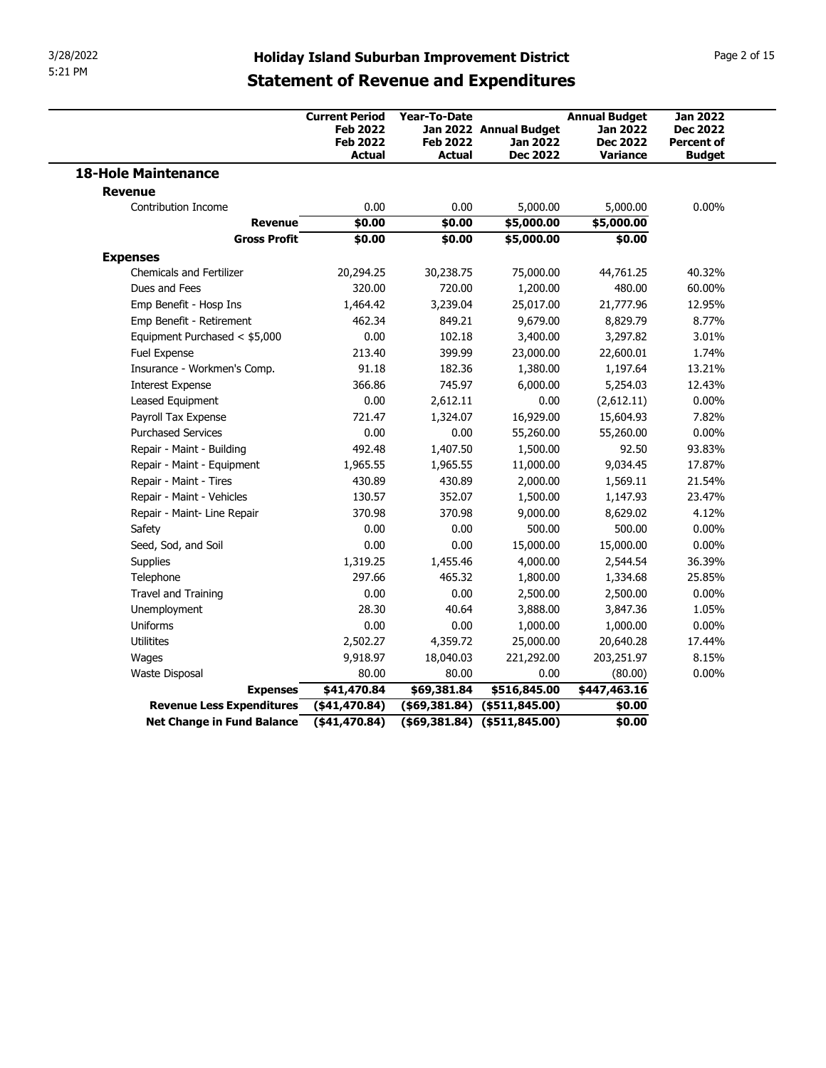| 3/28/2022                               |                                                                                                                       |                                                         |                                                              |                                                                               |                                                                          |
|-----------------------------------------|-----------------------------------------------------------------------------------------------------------------------|---------------------------------------------------------|--------------------------------------------------------------|-------------------------------------------------------------------------------|--------------------------------------------------------------------------|
| 5:21 PM                                 | <b>Holiday Island Suburban Improvement District</b>                                                                   |                                                         |                                                              |                                                                               | Page 2 of 15                                                             |
|                                         | <b>Statement of Revenue and Expenditures</b><br><b>Current Period</b><br><b>Feb 2022</b><br><b>Feb 2022</b><br>Actual | <b>Year-To-Date</b><br><b>Feb 2022</b><br><b>Actual</b> | Jan 2022 Annual Budget<br><b>Jan 2022</b><br><b>Dec 2022</b> | <b>Annual Budget</b><br><b>Jan 2022</b><br><b>Dec 2022</b><br><b>Variance</b> | <b>Jan 2022</b><br><b>Dec 2022</b><br><b>Percent of</b><br><b>Budget</b> |
| <b>18-Hole Maintenance</b>              |                                                                                                                       |                                                         |                                                              |                                                                               |                                                                          |
| <b>Revenue</b>                          |                                                                                                                       |                                                         |                                                              |                                                                               |                                                                          |
| Contribution Income                     | 0.00                                                                                                                  | 0.00                                                    | 5,000.00                                                     | 5,000.00                                                                      | $0.00\%$                                                                 |
| <b>Revenue</b><br><b>Gross Profit</b>   | \$0.00<br>\$0.00                                                                                                      | \$0.00<br>\$0.00                                        | \$5,000.00<br>\$5,000.00                                     | \$5,000.00<br>\$0.00                                                          |                                                                          |
| <b>Expenses</b>                         |                                                                                                                       |                                                         |                                                              |                                                                               |                                                                          |
| <b>Chemicals and Fertilizer</b>         | 20,294.25                                                                                                             | 30,238.75                                               | 75,000.00                                                    | 44,761.25                                                                     | 40.32%                                                                   |
| Dues and Fees                           | 320.00                                                                                                                | 720.00                                                  | 1,200.00                                                     | 480.00                                                                        | 60.00%                                                                   |
| Emp Benefit - Hosp Ins                  | 1,464.42                                                                                                              | 3,239.04                                                | 25,017.00                                                    | 21,777.96                                                                     | 12.95%                                                                   |
| Emp Benefit - Retirement                | 462.34                                                                                                                | 849.21                                                  | 9,679.00                                                     | 8,829.79                                                                      | 8.77%                                                                    |
| Equipment Purchased < \$5,000           | 0.00                                                                                                                  | 102.18                                                  | 3,400.00                                                     | 3,297.82                                                                      | 3.01%                                                                    |
| Fuel Expense                            | 213.40                                                                                                                | 399.99                                                  | 23,000.00                                                    | 22,600.01                                                                     | 1.74%                                                                    |
| Insurance - Workmen's Comp.             | 91.18                                                                                                                 | 182.36                                                  | 1,380.00                                                     | 1,197.64                                                                      | 13.21%                                                                   |
| <b>Interest Expense</b>                 | 366.86                                                                                                                | 745.97                                                  | 6,000.00                                                     | 5,254.03                                                                      | 12.43%                                                                   |
| Leased Equipment<br>Payroll Tax Expense | 0.00<br>721.47                                                                                                        | 2,612.11<br>1,324.07                                    | 0.00<br>16,929.00                                            | (2,612.11)<br>15,604.93                                                       | $0.00\%$<br>7.82%                                                        |
| <b>Purchased Services</b>               | 0.00                                                                                                                  | 0.00                                                    | 55,260.00                                                    | 55,260.00                                                                     | $0.00\%$                                                                 |
| Repair - Maint - Building               | 492.48                                                                                                                | 1,407.50                                                | 1,500.00                                                     | 92.50                                                                         | 93.83%                                                                   |
| Repair - Maint - Equipment              | 1,965.55                                                                                                              | 1,965.55                                                | 11,000.00                                                    | 9,034.45                                                                      | 17.87%                                                                   |
| Repair - Maint - Tires                  | 430.89                                                                                                                | 430.89                                                  | 2,000.00                                                     | 1,569.11                                                                      | 21.54%                                                                   |
| Repair - Maint - Vehicles               | 130.57                                                                                                                | 352.07                                                  | 1,500.00                                                     | 1,147.93                                                                      | 23.47%                                                                   |
| Repair - Maint- Line Repair             | 370.98                                                                                                                | 370.98                                                  | 9,000.00                                                     | 8,629.02                                                                      | 4.12%                                                                    |
| Safety                                  | 0.00                                                                                                                  | 0.00                                                    | 500.00                                                       | 500.00                                                                        | $0.00\%$                                                                 |
| Seed, Sod, and Soil                     | 0.00                                                                                                                  | 0.00                                                    | 15,000.00                                                    | 15,000.00                                                                     | $0.00\%$                                                                 |
| Supplies                                | 1,319.25                                                                                                              | 1,455.46                                                | 4,000.00                                                     | 2,544.54                                                                      | 36.39%                                                                   |
| Telephone<br>Travel and Training        | 297.66<br>0.00                                                                                                        | 465.32<br>0.00                                          | 1,800.00                                                     | 1,334.68                                                                      | 25.85%<br>$0.00\%$                                                       |
| Unemployment                            | 28.30                                                                                                                 | 40.64                                                   | 2,500.00<br>3,888.00                                         | 2,500.00<br>3,847.36                                                          | 1.05%                                                                    |
| Uniforms                                | 0.00                                                                                                                  | 0.00                                                    | 1,000.00                                                     | 1,000.00                                                                      | $0.00\%$                                                                 |
| Utilitites                              | 2,502.27                                                                                                              | 4,359.72                                                | 25,000.00                                                    | 20,640.28                                                                     | 17.44%                                                                   |
|                                         | 9,918.97                                                                                                              | 18,040.03                                               | 221,292.00                                                   | 203,251.97                                                                    | 8.15%                                                                    |
|                                         | 80.00                                                                                                                 | 80.00                                                   | 0.00                                                         | (80.00)                                                                       | $0.00\%$                                                                 |
| Wages                                   |                                                                                                                       | \$69,381.84                                             | \$516,845.00                                                 | \$447,463.16                                                                  |                                                                          |
| Waste Disposal<br><b>Expenses</b>       | \$41,470.84                                                                                                           |                                                         |                                                              |                                                                               |                                                                          |
| <b>Revenue Less Expenditures</b>        | $(*41,470.84)$                                                                                                        |                                                         | $($69,381.84)$ $($511,845.00)$                               | \$0.00                                                                        |                                                                          |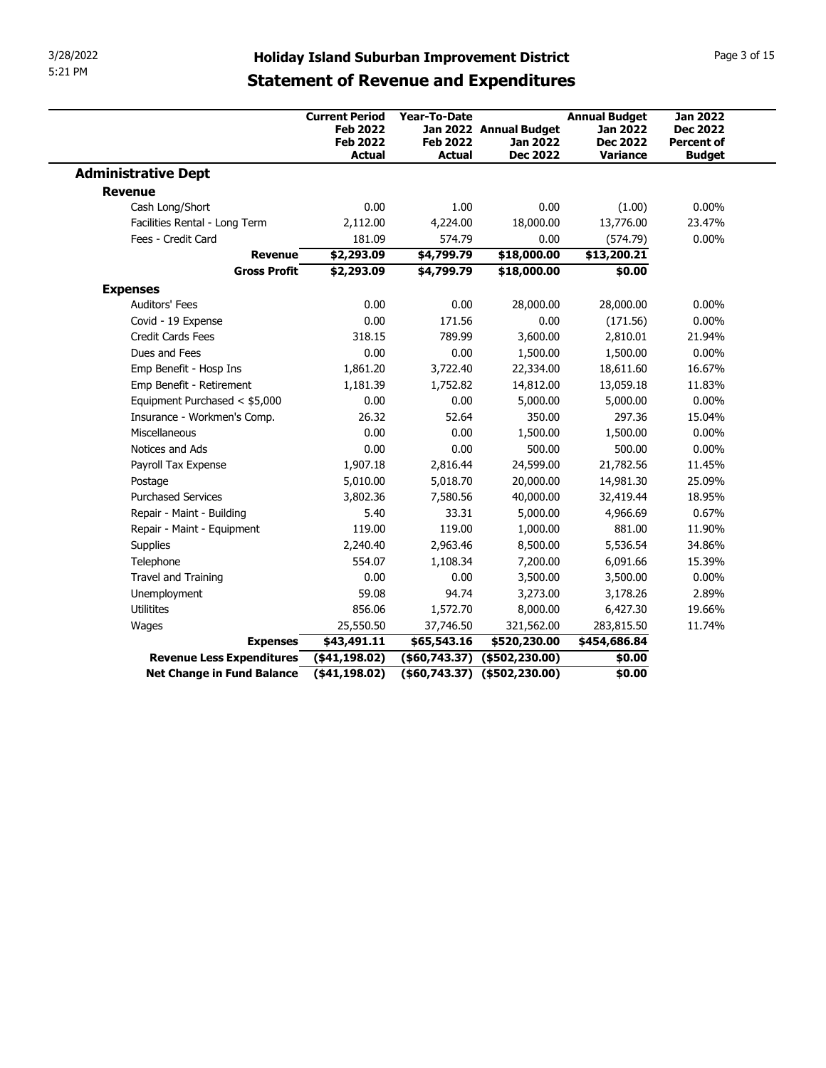| 3/28/2022                      |                                                                                                     |                                                  |                                                              |                                                                               |                                                                          |
|--------------------------------|-----------------------------------------------------------------------------------------------------|--------------------------------------------------|--------------------------------------------------------------|-------------------------------------------------------------------------------|--------------------------------------------------------------------------|
| 5:21 PM                        | <b>Holiday Island Suburban Improvement District</b><br><b>Statement of Revenue and Expenditures</b> |                                                  |                                                              |                                                                               | Page 3 of 15                                                             |
|                                | <b>Current Period</b><br><b>Feb 2022</b><br><b>Feb 2022</b><br><b>Actual</b>                        | Year-To-Date<br><b>Feb 2022</b><br><b>Actual</b> | Jan 2022 Annual Budget<br><b>Jan 2022</b><br><b>Dec 2022</b> | <b>Annual Budget</b><br><b>Jan 2022</b><br><b>Dec 2022</b><br><b>Variance</b> | <b>Jan 2022</b><br><b>Dec 2022</b><br><b>Percent of</b><br><b>Budget</b> |
| <b>Administrative Dept</b>     |                                                                                                     |                                                  |                                                              |                                                                               |                                                                          |
| <b>Revenue</b>                 |                                                                                                     |                                                  |                                                              |                                                                               |                                                                          |
| Cash Long/Short                | 0.00                                                                                                | 1.00                                             | 0.00                                                         | (1.00)                                                                        | $0.00\%$                                                                 |
| Facilities Rental - Long Term  | 2,112.00                                                                                            | 4,224.00                                         | 18,000.00                                                    | 13,776.00                                                                     | 23.47%                                                                   |
| Fees - Credit Card             | 181.09                                                                                              | 574.79                                           | 0.00                                                         | (574.79)                                                                      | $0.00\%$                                                                 |
| <b>Revenue</b>                 | \$2,293.09                                                                                          | \$4,799.79                                       | \$18,000.00                                                  | \$13,200.21                                                                   |                                                                          |
| <b>Gross Profit</b>            | \$2,293.09                                                                                          | \$4,799.79                                       | \$18,000.00                                                  | \$0.00                                                                        |                                                                          |
| <b>Expenses</b>                |                                                                                                     |                                                  |                                                              |                                                                               |                                                                          |
| Auditors' Fees                 | 0.00                                                                                                | 0.00                                             | 28,000.00                                                    | 28,000.00                                                                     | $0.00\%$                                                                 |
| Covid - 19 Expense             | 0.00                                                                                                | 171.56                                           | 0.00                                                         | (171.56)                                                                      | $0.00\%$                                                                 |
| Credit Cards Fees              | 318.15                                                                                              | 789.99                                           | 3,600.00                                                     | 2,810.01                                                                      | 21.94%                                                                   |
| Dues and Fees                  | 0.00                                                                                                | 0.00                                             | 1,500.00                                                     | 1,500.00                                                                      | $0.00\%$                                                                 |
| Emp Benefit - Hosp Ins         | 1,861.20                                                                                            | 3,722.40                                         | 22,334.00                                                    | 18,611.60                                                                     | 16.67%                                                                   |
| Emp Benefit - Retirement       | 1,181.39                                                                                            | 1,752.82                                         | 14,812.00                                                    | 13,059.18                                                                     | 11.83%                                                                   |
| Equipment Purchased < \$5,000  | 0.00                                                                                                | 0.00                                             | 5,000.00                                                     | 5,000.00                                                                      | $0.00\%$                                                                 |
| Insurance - Workmen's Comp.    | 26.32                                                                                               | 52.64                                            | 350.00                                                       | 297.36                                                                        | 15.04%                                                                   |
| Miscellaneous                  | 0.00                                                                                                | 0.00                                             | 1,500.00                                                     | 1,500.00                                                                      | $0.00\%$                                                                 |
| Notices and Ads                | 0.00                                                                                                | 0.00                                             | 500.00                                                       | 500.00                                                                        | $0.00\%$                                                                 |
| Payroll Tax Expense<br>Postage | 1,907.18<br>5,010.00                                                                                | 2,816.44<br>5,018.70                             | 24,599.00<br>20,000.00                                       | 21,782.56<br>14,981.30                                                        | 11.45%<br>25.09%                                                         |
| <b>Purchased Services</b>      | 3,802.36                                                                                            | 7,580.56                                         | 40,000.00                                                    | 32,419.44                                                                     | 18.95%                                                                   |
| Repair - Maint - Building      | 5.40                                                                                                | 33.31                                            | 5,000.00                                                     | 4,966.69                                                                      | 0.67%                                                                    |
| Repair - Maint - Equipment     | 119.00                                                                                              | 119.00                                           | 1,000.00                                                     | 881.00                                                                        | 11.90%                                                                   |
| Supplies                       | 2,240.40                                                                                            | 2,963.46                                         | 8,500.00                                                     | 5,536.54                                                                      | 34.86%                                                                   |
| Telephone                      | 554.07                                                                                              | 1,108.34                                         | 7,200.00                                                     | 6,091.66                                                                      | 15.39%                                                                   |
| Travel and Training            | 0.00                                                                                                | 0.00                                             | 3,500.00                                                     | 3,500.00                                                                      | $0.00\%$                                                                 |
| Unemployment                   | 59.08                                                                                               | 94.74                                            | 3,273.00                                                     | 3,178.26                                                                      | 2.89%                                                                    |
| Utilitites                     | 856.06                                                                                              | 1,572.70                                         | 8,000.00                                                     | 6,427.30                                                                      | 19.66%                                                                   |
| Wages                          | 25,550.50                                                                                           | 37,746.50                                        | 321,562.00                                                   | 283,815.50                                                                    | 11.74%                                                                   |
|                                | \$43,491.11                                                                                         | \$65,543.16                                      | \$520,230.00                                                 | \$454,686.84                                                                  |                                                                          |
| <b>Expenses</b>                | $($ \$41,198.02)                                                                                    |                                                  | $( $60,743.37)$ $ ($502,230.00)$                             | \$0.00                                                                        |                                                                          |
| Revenue Less Expenditures      |                                                                                                     |                                                  | $( $60,743.37)$ $ ($502,230.00)$                             |                                                                               |                                                                          |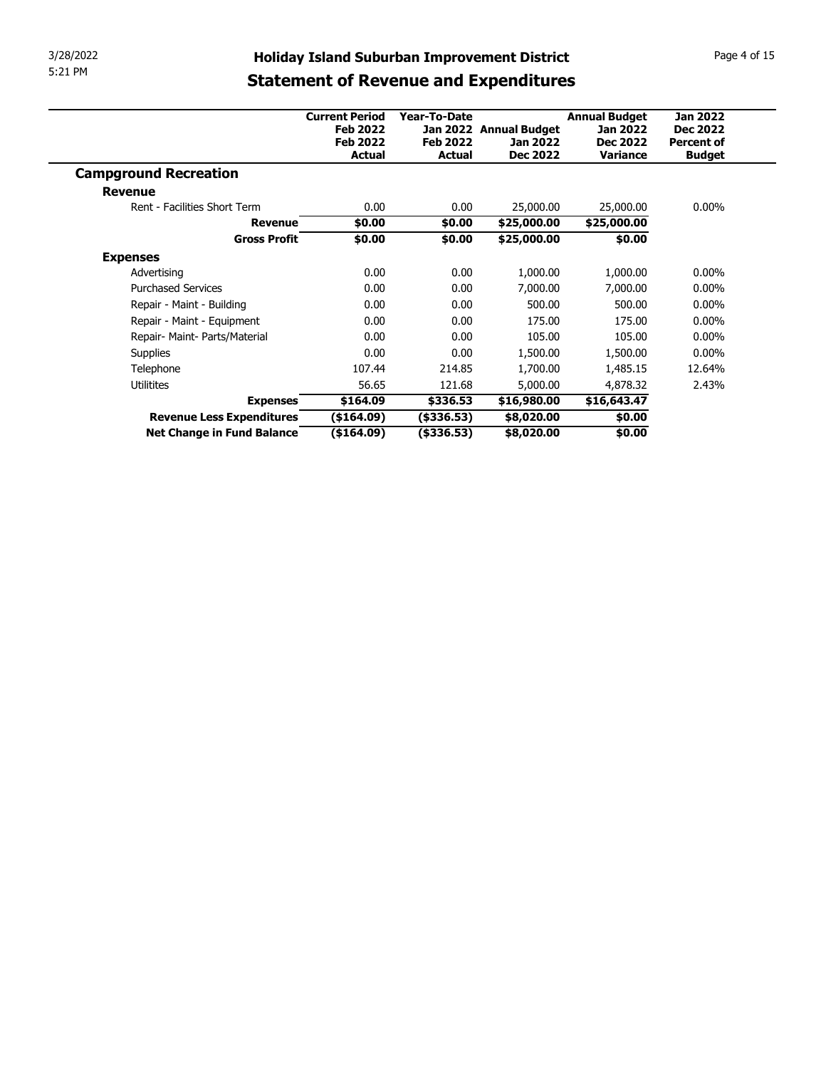| 3/28/2022                                               | <b>Holiday Island Suburban Improvement District</b> |                                   |                          |                      |                   | Page 4 of 15 |  |
|---------------------------------------------------------|-----------------------------------------------------|-----------------------------------|--------------------------|----------------------|-------------------|--------------|--|
| 5:21 PM                                                 |                                                     |                                   |                          |                      |                   |              |  |
|                                                         | <b>Statement of Revenue and Expenditures</b>        |                                   |                          |                      |                   |              |  |
|                                                         | <b>Current Period</b>                               | Year-To-Date                      |                          | <b>Annual Budget</b> | <b>Jan 2022</b>   |              |  |
|                                                         | <b>Feb 2022</b>                                     |                                   | Jan 2022 Annual Budget   | <b>Jan 2022</b>      | <b>Dec 2022</b>   |              |  |
|                                                         | <b>Feb 2022</b>                                     | <b>Feb 2022</b>                   | Jan 2022                 | <b>Dec 2022</b>      | <b>Percent of</b> |              |  |
|                                                         | <b>Actual</b>                                       | <b>Actual</b>                     | <b>Dec 2022</b>          | Variance             | <b>Budget</b>     |              |  |
|                                                         |                                                     |                                   |                          |                      |                   |              |  |
| <b>Campground Recreation</b>                            |                                                     |                                   |                          |                      |                   |              |  |
| <b>Revenue</b>                                          |                                                     |                                   |                          |                      |                   |              |  |
| Rent - Facilities Short Term                            | 0.00                                                | 0.00                              | 25,000.00                | 25,000.00            | $0.00\%$          |              |  |
| <b>Revenue</b>                                          | \$0.00                                              | \$0.00                            | \$25,000.00              | \$25,000.00          |                   |              |  |
| <b>Gross Profit</b>                                     | \$0.00                                              | \$0.00                            | \$25,000.00              | \$0.00               |                   |              |  |
| <b>Expenses</b>                                         |                                                     |                                   |                          |                      |                   |              |  |
| Advertising                                             | 0.00                                                | 0.00                              | 1,000.00                 | 1,000.00             | $0.00\%$          |              |  |
| <b>Purchased Services</b>                               | 0.00                                                | 0.00                              | 7,000.00                 | 7,000.00             | $0.00\%$          |              |  |
| Repair - Maint - Building                               | 0.00                                                | 0.00                              | 500.00                   | 500.00               | $0.00\%$          |              |  |
| Repair - Maint - Equipment                              | 0.00                                                | 0.00                              | 175.00                   | 175.00               | $0.00\%$          |              |  |
| Repair- Maint- Parts/Material                           | 0.00                                                | 0.00                              | 105.00                   | 105.00               | $0.00\%$          |              |  |
| Supplies                                                | 0.00                                                | 0.00                              | 1,500.00                 | 1,500.00             | $0.00\%$          |              |  |
| Telephone                                               | 107.44                                              | 214.85                            | 1,700.00                 | 1,485.15             | 12.64%            |              |  |
| Utilitites                                              | 56.65                                               | 121.68                            | 5,000.00                 | 4,878.32             | 2.43%             |              |  |
| <b>Expenses</b>                                         | \$164.09                                            | \$336.53                          | \$16,980.00              | \$16,643.47          |                   |              |  |
| Revenue Less Expenditures<br>Net Change in Fund Balance | (\$164.09)<br>( \$164.09)                           | $($ \$336.53 $)$<br>$($ \$336.53) | \$8,020.00<br>\$8,020.00 | \$0.00<br>\$0.00     |                   |              |  |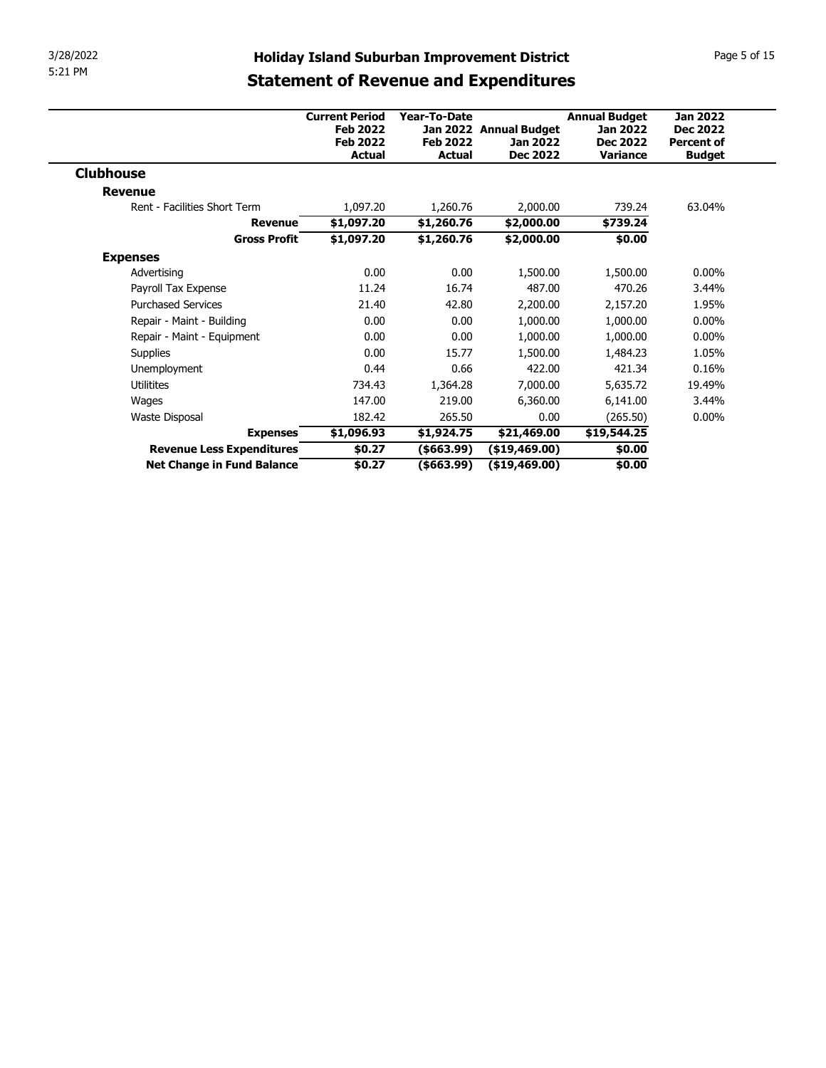| 3/28/2022                    |                       |                    | <b>Holiday Island Suburban Improvement District</b> |                      | Page 5 of 15      |
|------------------------------|-----------------------|--------------------|-----------------------------------------------------|----------------------|-------------------|
| 5:21 PM                      |                       |                    |                                                     |                      |                   |
|                              |                       |                    | <b>Statement of Revenue and Expenditures</b>        |                      |                   |
|                              | <b>Current Period</b> | Year-To-Date       |                                                     | <b>Annual Budget</b> | <b>Jan 2022</b>   |
|                              | <b>Feb 2022</b>       |                    | Jan 2022 Annual Budget                              | <b>Jan 2022</b>      | <b>Dec 2022</b>   |
|                              | <b>Feb 2022</b>       | <b>Feb 2022</b>    | <b>Jan 2022</b>                                     | <b>Dec 2022</b>      | <b>Percent of</b> |
|                              | <b>Actual</b>         | <b>Actual</b>      | <b>Dec 2022</b>                                     | Variance             | <b>Budget</b>     |
| <b>Clubhouse</b>             |                       |                    |                                                     |                      |                   |
|                              |                       |                    |                                                     |                      |                   |
| <b>Revenue</b>               |                       |                    |                                                     |                      |                   |
| Rent - Facilities Short Term | 1,097.20              | 1,260.76           | 2,000.00                                            | 739.24               | 63.04%            |
| <b>Revenue</b>               | \$1,097.20            | \$1,260.76         | \$2,000.00                                          | \$739.24             |                   |
| <b>Gross Profit</b>          | \$1,097.20            | \$1,260.76         | \$2,000.00                                          | \$0.00               |                   |
| <b>Expenses</b>              |                       |                    |                                                     |                      |                   |
| Advertising                  | 0.00                  | 0.00               | 1,500.00                                            | 1,500.00             | $0.00\%$          |
| Payroll Tax Expense          | 11.24                 | 16.74              | 487.00                                              | 470.26               | 3.44%             |
| <b>Purchased Services</b>    | 21.40                 | 42.80              | 2,200.00                                            | 2,157.20             | 1.95%             |
| Repair - Maint - Building    | 0.00                  | 0.00               | 1,000.00                                            | 1,000.00             | $0.00\%$          |
| Repair - Maint - Equipment   | 0.00                  | 0.00               | 1,000.00                                            | 1,000.00             | $0.00\%$          |
| Supplies                     | 0.00                  | 15.77              | 1,500.00                                            | 1,484.23             | 1.05%             |
| Unemployment<br>Utilitites   | 0.44<br>734.43        | 0.66               | 422.00                                              | 421.34               | 0.16%<br>19.49%   |
| Wages                        | 147.00                | 1,364.28<br>219.00 | 7,000.00<br>6,360.00                                | 5,635.72<br>6,141.00 | 3.44%             |
| Waste Disposal               | 182.42                | 265.50             | 0.00                                                | (265.50)             | $0.00\%$          |
| <b>Expenses</b>              | \$1,096.93            | \$1,924.75         | \$21,469.00                                         | \$19,544.25          |                   |
| Revenue Less Expenditures    | \$0.27                | ( \$663.99)        | (\$19,469.00)                                       | \$0.00               |                   |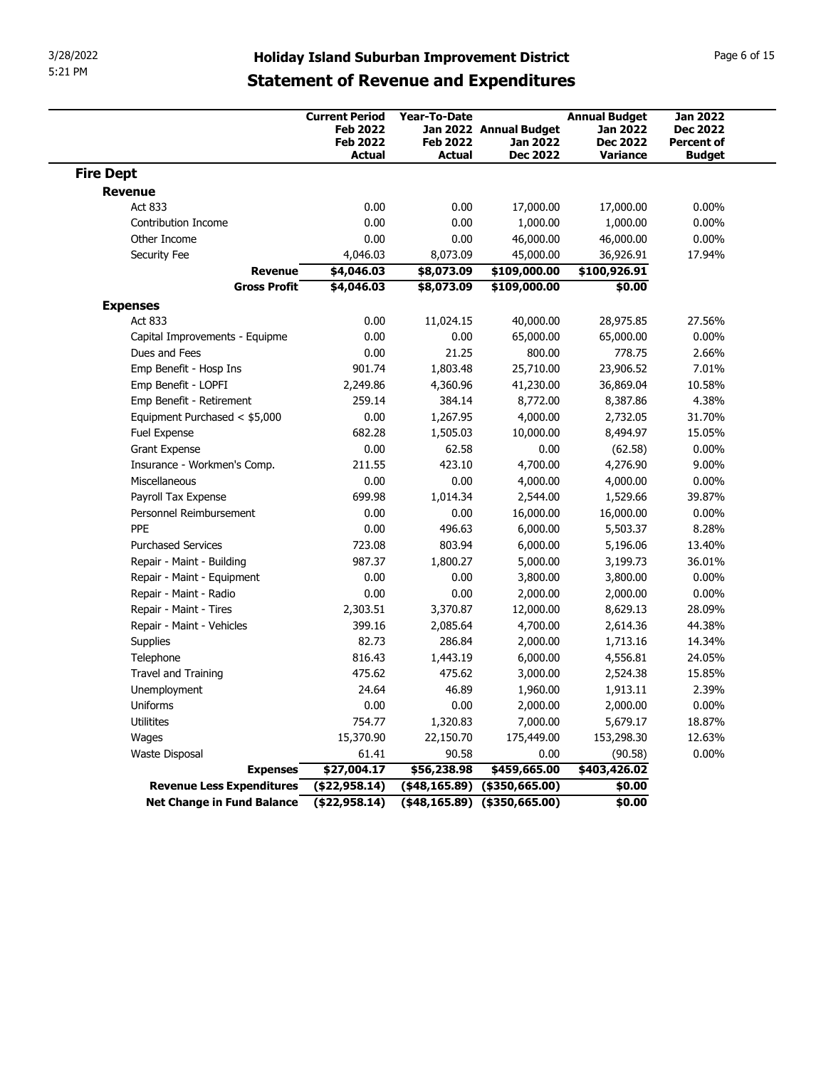| 3/28/2022<br>5:21 PM<br><b>Fire Dept</b><br><b>Revenue</b><br>Act 833<br>Contribution Income<br>Other Income<br>Security Fee<br><b>Revenue</b><br><b>Gross Profit</b><br><b>Expenses</b> | <b>Holiday Island Suburban Improvement District</b><br><b>Statement of Revenue and Expenditures</b><br><b>Current Period</b><br><b>Feb 2022</b><br><b>Feb 2022</b><br><b>Actual</b><br>0.00<br>0.00 | Year-To-Date<br><b>Feb 2022</b><br><b>Actual</b> | Jan 2022 Annual Budget<br><b>Jan 2022</b>                      | <b>Annual Budget</b><br><b>Jan 2022</b> | Page 6 of 15                                            |
|------------------------------------------------------------------------------------------------------------------------------------------------------------------------------------------|-----------------------------------------------------------------------------------------------------------------------------------------------------------------------------------------------------|--------------------------------------------------|----------------------------------------------------------------|-----------------------------------------|---------------------------------------------------------|
|                                                                                                                                                                                          |                                                                                                                                                                                                     |                                                  |                                                                |                                         |                                                         |
|                                                                                                                                                                                          |                                                                                                                                                                                                     |                                                  |                                                                | <b>Dec 2022</b>                         | <b>Jan 2022</b><br><b>Dec 2022</b><br><b>Percent of</b> |
|                                                                                                                                                                                          |                                                                                                                                                                                                     |                                                  | <b>Dec 2022</b>                                                | <b>Variance</b>                         | <b>Budget</b>                                           |
|                                                                                                                                                                                          |                                                                                                                                                                                                     |                                                  |                                                                |                                         |                                                         |
|                                                                                                                                                                                          |                                                                                                                                                                                                     | 0.00                                             | 17,000.00                                                      | 17,000.00                               | $0.00\%$                                                |
|                                                                                                                                                                                          |                                                                                                                                                                                                     | 0.00                                             | 1,000.00                                                       | 1,000.00                                | $0.00\%$                                                |
|                                                                                                                                                                                          | 0.00<br>4,046.03                                                                                                                                                                                    | 0.00<br>8,073.09                                 | 46,000.00<br>45,000.00                                         | 46,000.00<br>36,926.91                  | $0.00\%$<br>17.94%                                      |
|                                                                                                                                                                                          | \$4,046.03                                                                                                                                                                                          | \$8,073.09                                       | \$109,000.00                                                   | \$100,926.91                            |                                                         |
|                                                                                                                                                                                          | \$4,046.03                                                                                                                                                                                          | \$8,073.09                                       | \$109,000.00                                                   | \$0.00                                  |                                                         |
| Act 833                                                                                                                                                                                  | 0.00                                                                                                                                                                                                | 11,024.15                                        | 40,000.00                                                      | 28,975.85                               | 27.56%                                                  |
| Capital Improvements - Equipme                                                                                                                                                           | 0.00                                                                                                                                                                                                | 0.00                                             | 65,000.00                                                      | 65,000.00                               | $0.00\%$                                                |
| Dues and Fees                                                                                                                                                                            | 0.00                                                                                                                                                                                                | 21.25                                            | 800.00                                                         | 778.75                                  | 2.66%                                                   |
| Emp Benefit - Hosp Ins                                                                                                                                                                   | 901.74                                                                                                                                                                                              | 1,803.48                                         | 25,710.00                                                      | 23,906.52                               | 7.01%                                                   |
| Emp Benefit - LOPFI                                                                                                                                                                      | 2,249.86                                                                                                                                                                                            | 4,360.96                                         | 41,230.00                                                      | 36,869.04                               | 10.58%                                                  |
| Emp Benefit - Retirement<br>Equipment Purchased < \$5,000                                                                                                                                | 259.14<br>0.00                                                                                                                                                                                      | 384.14<br>1,267.95                               | 8,772.00<br>4,000.00                                           | 8,387.86<br>2,732.05                    | 4.38%<br>31.70%                                         |
| Fuel Expense                                                                                                                                                                             | 682.28                                                                                                                                                                                              | 1,505.03                                         | 10,000.00                                                      | 8,494.97                                | 15.05%                                                  |
| Grant Expense                                                                                                                                                                            | 0.00                                                                                                                                                                                                | 62.58                                            | 0.00                                                           | (62.58)                                 | $0.00\%$                                                |
| Insurance - Workmen's Comp.                                                                                                                                                              | 211.55                                                                                                                                                                                              | 423.10                                           | 4,700.00                                                       | 4,276.90                                | 9.00%                                                   |
| Miscellaneous                                                                                                                                                                            | 0.00                                                                                                                                                                                                | 0.00                                             | 4,000.00                                                       | 4,000.00                                | $0.00\%$                                                |
| Payroll Tax Expense                                                                                                                                                                      | 699.98                                                                                                                                                                                              | 1,014.34                                         | 2,544.00                                                       | 1,529.66                                | 39.87%                                                  |
| Personnel Reimbursement<br>PPE                                                                                                                                                           | 0.00<br>0.00                                                                                                                                                                                        | 0.00<br>496.63                                   | 16,000.00<br>6,000.00                                          | 16,000.00                               | $0.00\%$<br>8.28%                                       |
| <b>Purchased Services</b>                                                                                                                                                                | 723.08                                                                                                                                                                                              | 803.94                                           | 6,000.00                                                       | 5,503.37<br>5,196.06                    | 13.40%                                                  |
| Repair - Maint - Building                                                                                                                                                                | 987.37                                                                                                                                                                                              | 1,800.27                                         | 5,000.00                                                       | 3,199.73                                | 36.01%                                                  |
| Repair - Maint - Equipment                                                                                                                                                               | 0.00                                                                                                                                                                                                | 0.00                                             | 3,800.00                                                       | 3,800.00                                | $0.00\%$                                                |
| Repair - Maint - Radio                                                                                                                                                                   | 0.00                                                                                                                                                                                                | 0.00                                             | 2,000.00                                                       | 2,000.00                                | $0.00\%$                                                |
| Repair - Maint - Tires                                                                                                                                                                   | 2,303.51                                                                                                                                                                                            | 3,370.87                                         | 12,000.00                                                      | 8,629.13                                | 28.09%                                                  |
| Repair - Maint - Vehicles                                                                                                                                                                | 399.16                                                                                                                                                                                              | 2,085.64                                         | 4,700.00                                                       | 2,614.36                                | 44.38%                                                  |
| Supplies                                                                                                                                                                                 | 82.73                                                                                                                                                                                               | 286.84                                           | 2,000.00                                                       | 1,713.16                                | 14.34%                                                  |
| Telephone                                                                                                                                                                                | 816.43                                                                                                                                                                                              | 1,443.19                                         | 6,000.00                                                       | 4,556.81                                | 24.05%                                                  |
| Travel and Training<br>Unemployment                                                                                                                                                      | 475.62<br>24.64                                                                                                                                                                                     | 475.62<br>46.89                                  | 3,000.00<br>1,960.00                                           | 2,524.38<br>1,913.11                    | 15.85%<br>2.39%                                         |
| Uniforms                                                                                                                                                                                 | 0.00                                                                                                                                                                                                | 0.00                                             | 2,000.00                                                       | 2,000.00                                | $0.00\%$                                                |
| Utilitites                                                                                                                                                                               | 754.77                                                                                                                                                                                              | 1,320.83                                         | 7,000.00                                                       | 5,679.17                                | 18.87%                                                  |
| Wages                                                                                                                                                                                    | 15,370.90                                                                                                                                                                                           | 22,150.70                                        | 175,449.00                                                     | 153,298.30                              | 12.63%                                                  |
| Waste Disposal                                                                                                                                                                           | 61.41                                                                                                                                                                                               | 90.58                                            | 0.00                                                           | (90.58)                                 | $0.00\%$                                                |
| <b>Expenses</b>                                                                                                                                                                          | \$27,004.17                                                                                                                                                                                         | \$56,238.98                                      | \$459,665.00                                                   | \$403,426.02                            |                                                         |
| Revenue Less Expenditures<br><b>Net Change in Fund Balance</b>                                                                                                                           | (\$22,958.14)<br>(\$22,958.14)                                                                                                                                                                      |                                                  | $(48,165.89)$ $(4350,665.00)$<br>$(48,165.89)$ $(4350,665.00)$ | \$0.00<br>\$0.00                        |                                                         |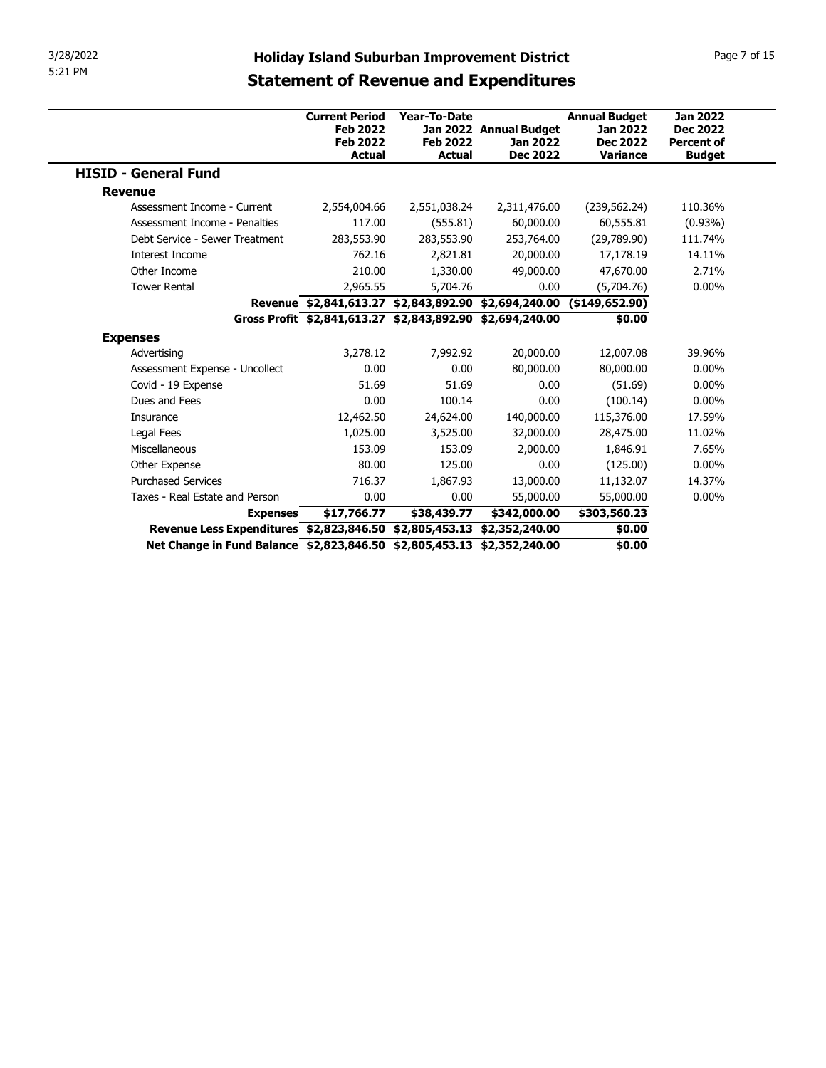| 3/28/2022                                                                                 | <b>Holiday Island Suburban Improvement District</b>                   |                                                  |                                                       |                                                                               |                                                                          |
|-------------------------------------------------------------------------------------------|-----------------------------------------------------------------------|--------------------------------------------------|-------------------------------------------------------|-------------------------------------------------------------------------------|--------------------------------------------------------------------------|
| 5:21 PM                                                                                   | <b>Statement of Revenue and Expenditures</b>                          |                                                  |                                                       |                                                                               | Page 7 of 15                                                             |
|                                                                                           | <b>Current Period</b><br><b>Feb 2022</b><br><b>Feb 2022</b><br>Actual | Year-To-Date<br><b>Feb 2022</b><br><b>Actual</b> | Jan 2022 Annual Budget<br>Jan 2022<br><b>Dec 2022</b> | <b>Annual Budget</b><br><b>Jan 2022</b><br><b>Dec 2022</b><br><b>Variance</b> | <b>Jan 2022</b><br><b>Dec 2022</b><br><b>Percent of</b><br><b>Budget</b> |
| <b>HISID - General Fund</b>                                                               |                                                                       |                                                  |                                                       |                                                                               |                                                                          |
| <b>Revenue</b>                                                                            |                                                                       |                                                  |                                                       |                                                                               |                                                                          |
| Assessment Income - Current                                                               | 2,554,004.66                                                          | 2,551,038.24                                     | 2,311,476.00                                          | (239, 562.24)                                                                 | 110.36%                                                                  |
| Assessment Income - Penalties                                                             | 117.00                                                                | (555.81)                                         | 60,000.00                                             | 60,555.81                                                                     | $(0.93\%)$                                                               |
| Debt Service - Sewer Treatment                                                            | 283,553.90                                                            | 283,553.90                                       | 253,764.00                                            | (29,789.90)                                                                   | 111.74%                                                                  |
| Interest Income                                                                           | 762.16                                                                | 2,821.81                                         | 20,000.00                                             | 17,178.19                                                                     | 14.11%                                                                   |
| Other Income                                                                              | 210.00                                                                | 1,330.00                                         | 49,000.00                                             | 47,670.00                                                                     | 2.71%                                                                    |
| <b>Tower Rental</b>                                                                       | 2,965.55                                                              | 5,704.76                                         | 0.00                                                  | (5,704.76)                                                                    | $0.00\%$                                                                 |
|                                                                                           | Revenue \$2,841,613.27 \$2,843,892.90 \$2,694,240.00 (\$149,652.90)   |                                                  |                                                       |                                                                               |                                                                          |
|                                                                                           | Gross Profit \$2,841,613.27 \$2,843,892.90 \$2,694,240.00             |                                                  |                                                       | \$0.00                                                                        |                                                                          |
| <b>Expenses</b>                                                                           |                                                                       |                                                  |                                                       |                                                                               |                                                                          |
| Advertising                                                                               | 3,278.12                                                              | 7,992.92                                         | 20,000.00                                             | 12,007.08                                                                     | 39.96%                                                                   |
| Assessment Expense - Uncollect<br>Covid - 19 Expense                                      | 0.00                                                                  | 0.00                                             | 80,000.00                                             | 80,000.00                                                                     | $0.00\%$                                                                 |
| Dues and Fees                                                                             | 51.69<br>0.00                                                         | 51.69<br>100.14                                  | 0.00<br>0.00                                          | (51.69)<br>(100.14)                                                           | $0.00\%$<br>$0.00\%$                                                     |
| Insurance                                                                                 | 12,462.50                                                             | 24,624.00                                        | 140,000.00                                            | 115,376.00                                                                    | 17.59%                                                                   |
| Legal Fees                                                                                | 1,025.00                                                              | 3,525.00                                         | 32,000.00                                             | 28,475.00                                                                     | 11.02%                                                                   |
| Miscellaneous                                                                             | 153.09                                                                | 153.09                                           | 2,000.00                                              | 1,846.91                                                                      | 7.65%                                                                    |
| Other Expense                                                                             | 80.00                                                                 | 125.00                                           | 0.00                                                  | (125.00)                                                                      | $0.00\%$                                                                 |
|                                                                                           | 716.37                                                                | 1,867.93                                         | 13,000.00                                             | 11,132.07                                                                     | 14.37%                                                                   |
|                                                                                           | 0.00                                                                  | 0.00                                             | 55,000.00                                             | 55,000.00                                                                     | $0.00\%$                                                                 |
| <b>Purchased Services</b>                                                                 |                                                                       | \$38,439.77                                      | \$342,000.00                                          | \$303,560.23                                                                  |                                                                          |
| Taxes - Real Estate and Person                                                            |                                                                       |                                                  |                                                       | \$0.00                                                                        |                                                                          |
| <b>Expenses</b><br>Revenue Less Expenditures \$2,823,846.50 \$2,805,453.13 \$2,352,240.00 | \$17,766.77                                                           |                                                  |                                                       | \$0.00                                                                        |                                                                          |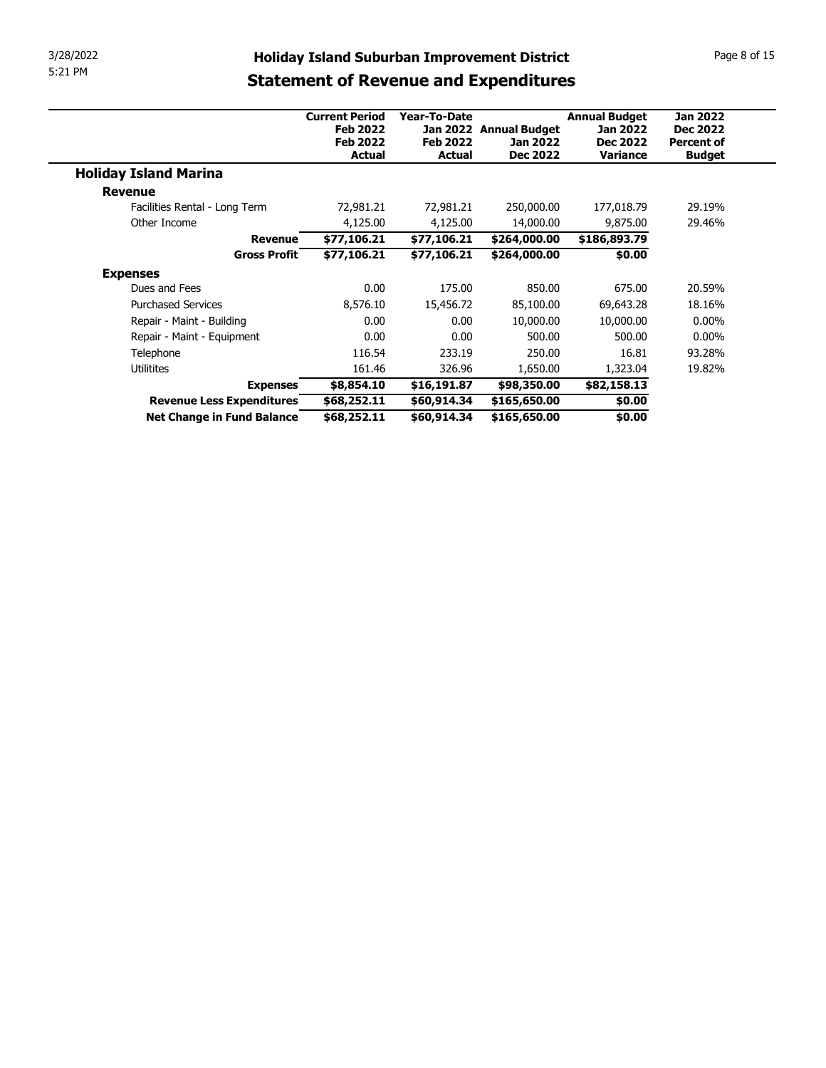| 3/28/2022                    |                                               |                                                             |                                 |                                                     |                                                            | Page 8 of 15                                            |
|------------------------------|-----------------------------------------------|-------------------------------------------------------------|---------------------------------|-----------------------------------------------------|------------------------------------------------------------|---------------------------------------------------------|
| 5:21 PM                      |                                               |                                                             |                                 | <b>Holiday Island Suburban Improvement District</b> |                                                            |                                                         |
|                              |                                               | <b>Statement of Revenue and Expenditures</b>                |                                 |                                                     |                                                            |                                                         |
|                              |                                               |                                                             |                                 |                                                     |                                                            |                                                         |
|                              |                                               | <b>Current Period</b><br><b>Feb 2022</b><br><b>Feb 2022</b> | Year-To-Date<br><b>Feb 2022</b> | Jan 2022 Annual Budget<br><b>Jan 2022</b>           | <b>Annual Budget</b><br><b>Jan 2022</b><br><b>Dec 2022</b> | <b>Jan 2022</b><br><b>Dec 2022</b><br><b>Percent of</b> |
|                              |                                               | <b>Actual</b>                                               | <b>Actual</b>                   | <b>Dec 2022</b>                                     | <b>Variance</b>                                            | <b>Budget</b>                                           |
| <b>Holiday Island Marina</b> |                                               |                                                             |                                 |                                                     |                                                            |                                                         |
| <b>Revenue</b>               |                                               |                                                             |                                 |                                                     |                                                            | 29.19%                                                  |
|                              | Facilities Rental - Long Term<br>Other Income | 72,981.21<br>4,125.00                                       | 72,981.21<br>4,125.00           | 250,000.00<br>14,000.00                             | 177,018.79<br>9,875.00                                     | 29.46%                                                  |
|                              | <b>Revenue</b>                                | \$77,106.21                                                 | \$77,106.21                     | \$264,000.00                                        | \$186,893.79                                               |                                                         |
|                              | <b>Gross Profit</b>                           | \$77,106.21                                                 | \$77,106.21                     | \$264,000.00                                        | \$0.00                                                     |                                                         |
| <b>Expenses</b>              |                                               |                                                             |                                 |                                                     |                                                            |                                                         |
|                              | Dues and Fees                                 | 0.00                                                        | 175.00                          | 850.00                                              | 675.00                                                     | 20.59%                                                  |
|                              | <b>Purchased Services</b>                     | 8,576.10                                                    | 15,456.72                       | 85,100.00                                           | 69,643.28                                                  | 18.16%                                                  |
|                              | Repair - Maint - Building                     | 0.00                                                        | 0.00                            | 10,000.00                                           | 10,000.00                                                  | $0.00\%$                                                |
|                              | Repair - Maint - Equipment                    | 0.00                                                        | 0.00                            | 500.00                                              | 500.00                                                     | $0.00\%$                                                |
| Telephone                    |                                               | 116.54                                                      | 233.19                          | 250.00                                              | 16.81                                                      | 93.28%                                                  |
| Utilitites                   |                                               | 161.46                                                      | 326.96                          | 1,650.00                                            | 1,323.04                                                   | 19.82%                                                  |
|                              | <b>Expenses</b><br>Revenue Less Expenditures  | \$8,854.10<br>\$68,252.11                                   | \$16,191.87<br>\$60,914.34      | \$98,350.00<br>\$165,650.00                         | \$82,158.13<br>\$0.00                                      |                                                         |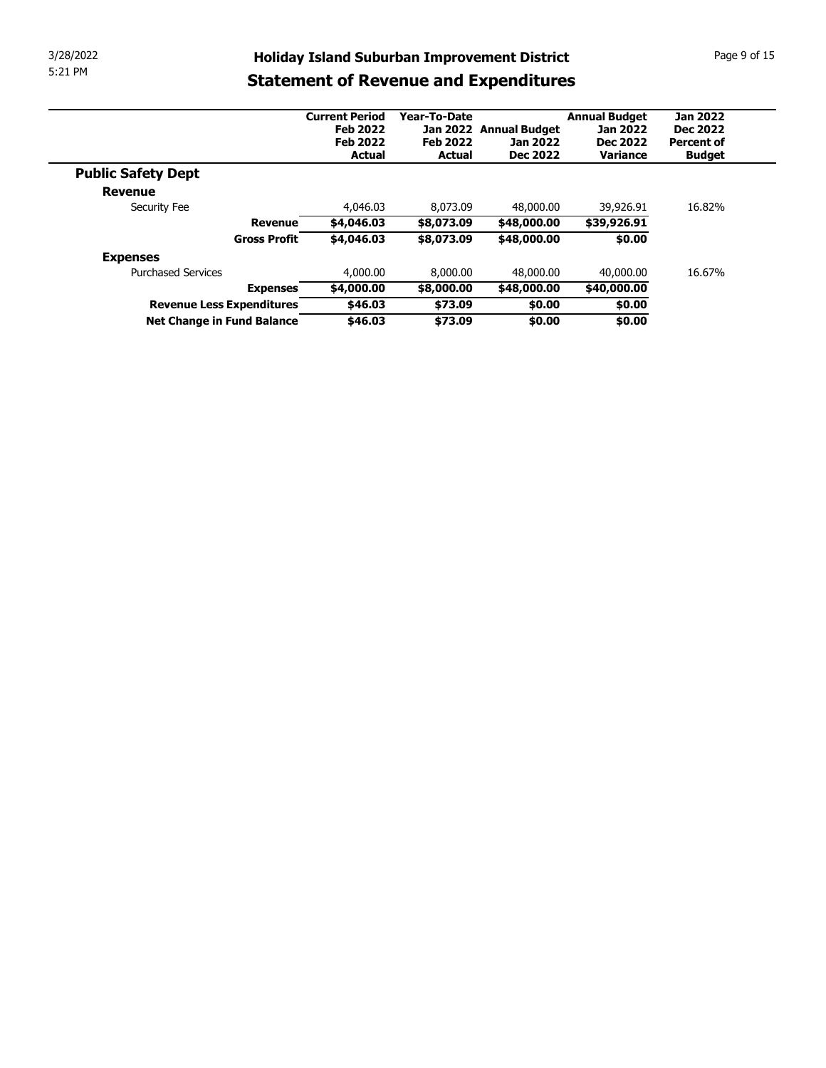| 3/28/2022 |                                              |                        | <b>Holiday Island Suburban Improvement District</b> |                          |                          | Page 9 of 15      |
|-----------|----------------------------------------------|------------------------|-----------------------------------------------------|--------------------------|--------------------------|-------------------|
| 5:21 PM   |                                              |                        |                                                     |                          |                          |                   |
|           |                                              |                        | <b>Statement of Revenue and Expenditures</b>        |                          |                          |                   |
|           |                                              | <b>Current Period</b>  | Year-To-Date                                        |                          | <b>Annual Budget</b>     | <b>Jan 2022</b>   |
|           |                                              | <b>Feb 2022</b>        |                                                     | Jan 2022 Annual Budget   | <b>Jan 2022</b>          | <b>Dec 2022</b>   |
|           |                                              | <b>Feb 2022</b>        | <b>Feb 2022</b>                                     | <b>Jan 2022</b>          | <b>Dec 2022</b>          | <b>Percent of</b> |
|           |                                              | <b>Actual</b>          | <b>Actual</b>                                       | <b>Dec 2022</b>          | Variance                 | <b>Budget</b>     |
|           | <b>Public Safety Dept</b>                    |                        |                                                     |                          |                          |                   |
|           | <b>Revenue</b>                               |                        |                                                     |                          |                          |                   |
|           | Security Fee<br><b>Revenue</b>               | 4,046.03<br>\$4,046.03 | 8,073.09<br>\$8,073.09                              | 48,000.00<br>\$48,000.00 | 39,926.91<br>\$39,926.91 | 16.82%            |
|           | <b>Gross Profit</b>                          | \$4,046.03             | \$8,073.09                                          | \$48,000.00              | \$0.00                   |                   |
|           |                                              |                        |                                                     |                          |                          |                   |
|           | <b>Expenses</b><br><b>Purchased Services</b> |                        | 8,000.00                                            |                          |                          | 16.67%            |
|           |                                              | 4,000.00               |                                                     | 48,000.00                | 40,000.00                |                   |
|           | <b>Expenses</b><br>Revenue Less Expenditures | \$4,000.00<br>\$46.03  | \$8,000.00<br>\$73.09                               | \$48,000.00<br>\$0.00    | \$40,000.00<br>\$0.00    |                   |
|           | Net Change in Fund Balance                   | \$46.03                | \$73.09                                             | \$0.00                   | \$0.00                   |                   |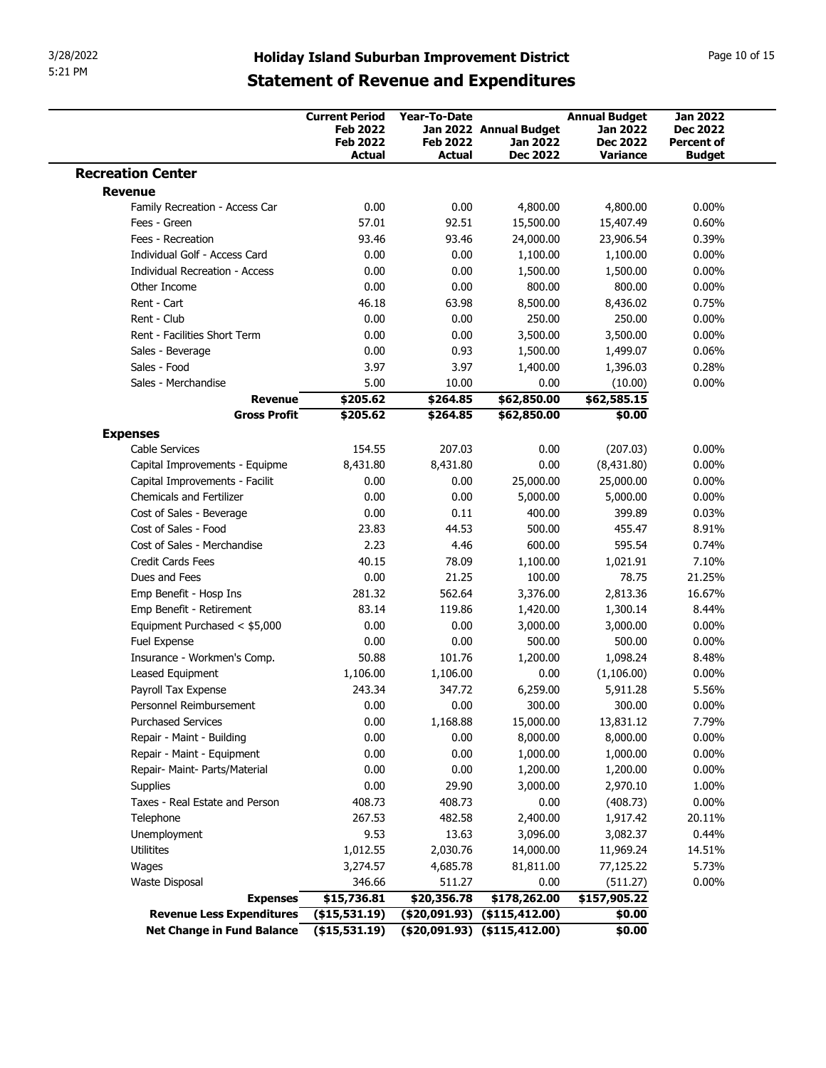|                                                                      |                                                             |                                 | <b>Holiday Island Suburban Improvement District</b><br><b>Statement of Revenue and Expenditures</b> |                                                            | Page 10 of 15                                           |
|----------------------------------------------------------------------|-------------------------------------------------------------|---------------------------------|-----------------------------------------------------------------------------------------------------|------------------------------------------------------------|---------------------------------------------------------|
|                                                                      | <b>Current Period</b><br><b>Feb 2022</b><br><b>Feb 2022</b> | Year-To-Date<br><b>Feb 2022</b> | Jan 2022 Annual Budget<br>Jan 2022                                                                  | <b>Annual Budget</b><br><b>Jan 2022</b><br><b>Dec 2022</b> | <b>Jan 2022</b><br><b>Dec 2022</b><br><b>Percent of</b> |
| <b>Recreation Center</b>                                             | <b>Actual</b>                                               | <b>Actual</b>                   | <b>Dec 2022</b>                                                                                     | <b>Variance</b>                                            | <b>Budget</b>                                           |
| <b>Revenue</b>                                                       |                                                             |                                 |                                                                                                     |                                                            |                                                         |
| Family Recreation - Access Car                                       | 0.00                                                        | 0.00                            | 4,800.00                                                                                            | 4,800.00                                                   | $0.00\%$                                                |
| Fees - Green                                                         | 57.01                                                       | 92.51                           | 15,500.00                                                                                           | 15,407.49                                                  | 0.60%                                                   |
| Fees - Recreation                                                    | 93.46                                                       | 93.46                           | 24,000.00                                                                                           | 23,906.54                                                  | 0.39%                                                   |
| Individual Golf - Access Card                                        | 0.00                                                        | 0.00                            | 1,100.00                                                                                            | 1,100.00                                                   | $0.00\%$                                                |
| <b>Individual Recreation - Access</b>                                | 0.00                                                        | 0.00                            | 1,500.00                                                                                            | 1,500.00                                                   | $0.00\%$                                                |
| Other Income                                                         | 0.00                                                        | 0.00                            | 800.00                                                                                              | 800.00                                                     | $0.00\%$                                                |
| Rent - Cart<br>Rent - Club                                           | 46.18<br>0.00                                               | 63.98<br>0.00                   | 8,500.00<br>250.00                                                                                  | 8,436.02<br>250.00                                         | 0.75%<br>$0.00\%$                                       |
| Rent - Facilities Short Term                                         | 0.00                                                        | 0.00                            | 3,500.00                                                                                            | 3,500.00                                                   | $0.00\%$                                                |
| Sales - Beverage                                                     | 0.00                                                        | 0.93                            | 1,500.00                                                                                            | 1,499.07                                                   | 0.06%                                                   |
| Sales - Food                                                         | 3.97                                                        | 3.97                            | 1,400.00                                                                                            | 1,396.03                                                   | 0.28%                                                   |
| Sales - Merchandise                                                  | 5.00                                                        | 10.00                           | 0.00                                                                                                | (10.00)                                                    | $0.00\%$                                                |
| <b>Revenue</b>                                                       | \$205.62                                                    | \$264.85                        | \$62,850.00                                                                                         | \$62,585.15                                                |                                                         |
| <b>Gross Profit</b>                                                  | \$205.62                                                    | \$264.85                        | \$62,850.00                                                                                         | \$0.00                                                     |                                                         |
| <b>Expenses</b><br>Cable Services                                    | 154.55                                                      | 207.03                          | 0.00                                                                                                | (207.03)                                                   | $0.00\%$                                                |
| Capital Improvements - Equipme                                       | 8,431.80                                                    | 8,431.80                        | 0.00                                                                                                | (8,431.80)                                                 | $0.00\%$                                                |
| Capital Improvements - Facilit                                       | 0.00                                                        | 0.00                            | 25,000.00                                                                                           | 25,000.00                                                  | $0.00\%$                                                |
| <b>Chemicals and Fertilizer</b>                                      | 0.00                                                        | 0.00                            | 5,000.00                                                                                            | 5,000.00                                                   | $0.00\%$                                                |
| Cost of Sales - Beverage                                             | 0.00                                                        | 0.11                            | 400.00                                                                                              | 399.89                                                     | 0.03%                                                   |
| Cost of Sales - Food                                                 | 23.83                                                       | 44.53                           | 500.00                                                                                              | 455.47                                                     | 8.91%                                                   |
| Cost of Sales - Merchandise                                          | 2.23                                                        | 4.46                            | 600.00                                                                                              | 595.54                                                     | 0.74%                                                   |
| Credit Cards Fees<br>Dues and Fees                                   | 40.15<br>0.00                                               | 78.09<br>21.25                  | 1,100.00<br>100.00                                                                                  | 1,021.91<br>78.75                                          | 7.10%<br>21.25%                                         |
| Emp Benefit - Hosp Ins                                               | 281.32                                                      | 562.64                          | 3,376.00                                                                                            | 2,813.36                                                   | 16.67%                                                  |
| Emp Benefit - Retirement                                             | 83.14                                                       | 119.86                          | 1,420.00                                                                                            | 1,300.14                                                   | 8.44%                                                   |
| Equipment Purchased < \$5,000                                        | 0.00                                                        | 0.00                            | 3,000.00                                                                                            | 3,000.00                                                   | $0.00\%$                                                |
| Fuel Expense                                                         | 0.00                                                        | 0.00                            | 500.00                                                                                              | 500.00                                                     | $0.00\%$                                                |
| Insurance - Workmen's Comp.                                          | 50.88                                                       | 101.76                          | 1,200.00                                                                                            | 1,098.24                                                   | 8.48%                                                   |
| Leased Equipment                                                     | 1,106.00                                                    | 1,106.00                        | 0.00                                                                                                | (1,106.00)                                                 | $0.00\%$                                                |
| Payroll Tax Expense                                                  | 243.34                                                      | 347.72                          | 6,259.00                                                                                            | 5,911.28                                                   | 5.56%                                                   |
| Personnel Reimbursement<br><b>Purchased Services</b>                 | 0.00<br>0.00                                                | 0.00<br>1,168.88                | 300.00                                                                                              | 300.00<br>13,831.12                                        | $0.00\%$<br>7.79%                                       |
| Repair - Maint - Building                                            | 0.00                                                        | 0.00                            | 15,000.00<br>8,000.00                                                                               | 8,000.00                                                   | $0.00\%$                                                |
| Repair - Maint - Equipment                                           | 0.00                                                        | 0.00                            | 1,000.00                                                                                            | 1,000.00                                                   | $0.00\%$                                                |
| Repair- Maint- Parts/Material                                        | 0.00                                                        | 0.00                            | 1,200.00                                                                                            | 1,200.00                                                   | $0.00\%$                                                |
| Supplies                                                             | 0.00                                                        | 29.90                           | 3,000.00                                                                                            | 2,970.10                                                   | 1.00%                                                   |
| Taxes - Real Estate and Person                                       | 408.73                                                      | 408.73                          | 0.00                                                                                                | (408.73)                                                   | $0.00\%$                                                |
| Telephone                                                            | 267.53                                                      | 482.58                          | 2,400.00                                                                                            | 1,917.42                                                   | 20.11%                                                  |
| Unemployment                                                         | 9.53                                                        | 13.63                           | 3,096.00                                                                                            | 3,082.37                                                   | 0.44%                                                   |
| Utilitites                                                           | 1,012.55                                                    | 2,030.76                        | 14,000.00                                                                                           | 11,969.24                                                  | 14.51%                                                  |
| Wages                                                                | 3,274.57                                                    | 4,685.78                        | 81,811.00                                                                                           | 77,125.22                                                  | 5.73%                                                   |
| <b>Waste Disposal</b><br><b>Expenses</b>                             | 346.66<br>\$15,736.81                                       | 511.27<br>\$20,356.78           | 0.00<br>\$178,262.00                                                                                | (511.27)<br>\$157,905.22                                   | $0.00\%$                                                |
|                                                                      |                                                             |                                 |                                                                                                     |                                                            |                                                         |
| Revenue Less Expenditures (\$15,531.19) (\$20,091.93) (\$115,412.00) |                                                             |                                 |                                                                                                     | \$0.00                                                     |                                                         |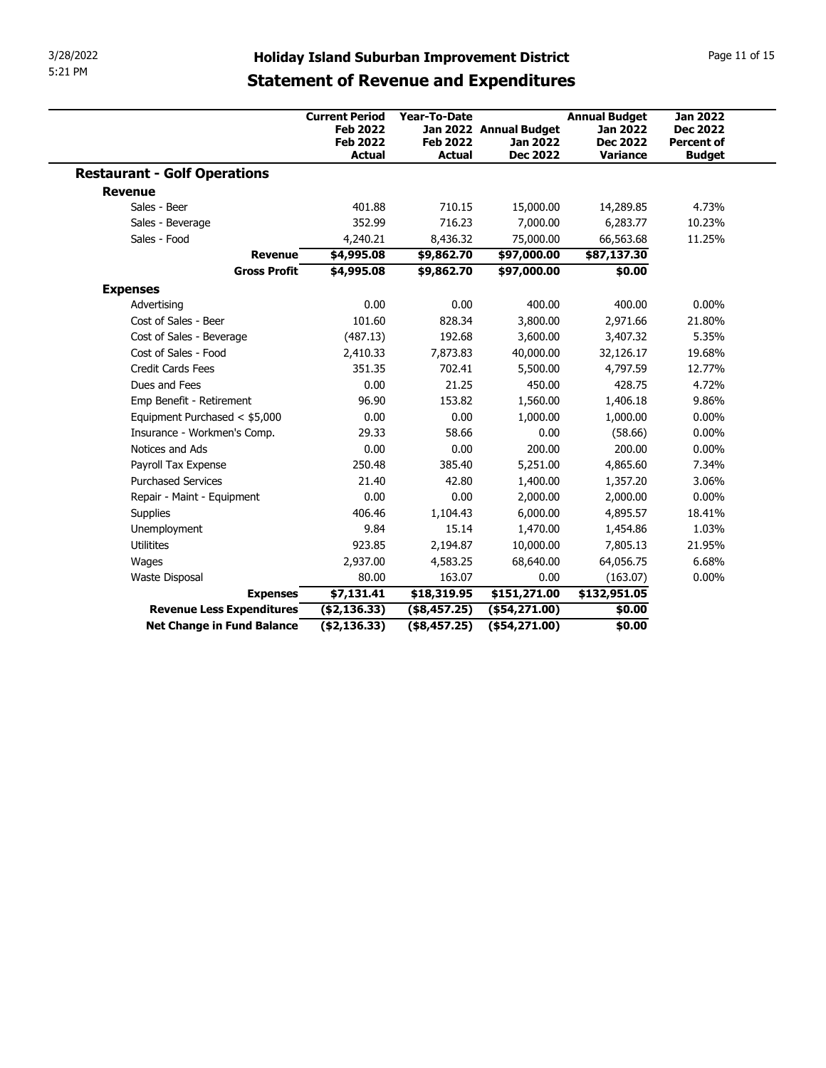| 3/28/2022<br>5:21 PM                |                                                                              |                                                  |                                                              |                                                                        |                                                                          |
|-------------------------------------|------------------------------------------------------------------------------|--------------------------------------------------|--------------------------------------------------------------|------------------------------------------------------------------------|--------------------------------------------------------------------------|
|                                     | <b>Statement of Revenue and Expenditures</b>                                 |                                                  | <b>Holiday Island Suburban Improvement District</b>          |                                                                        | Page 11 of 15                                                            |
|                                     | <b>Current Period</b><br><b>Feb 2022</b><br><b>Feb 2022</b><br><b>Actual</b> | Year-To-Date<br><b>Feb 2022</b><br><b>Actual</b> | Jan 2022 Annual Budget<br><b>Jan 2022</b><br><b>Dec 2022</b> | <b>Annual Budget</b><br><b>Jan 2022</b><br><b>Dec 2022</b><br>Variance | <b>Jan 2022</b><br><b>Dec 2022</b><br><b>Percent of</b><br><b>Budget</b> |
| <b>Restaurant - Golf Operations</b> |                                                                              |                                                  |                                                              |                                                                        |                                                                          |
| <b>Revenue</b>                      |                                                                              |                                                  |                                                              |                                                                        |                                                                          |
| Sales - Beer                        | 401.88                                                                       | 710.15                                           | 15,000.00                                                    | 14,289.85                                                              | 4.73%                                                                    |
| Sales - Beverage                    | 352.99                                                                       | 716.23                                           | 7,000.00                                                     | 6,283.77                                                               | 10.23%                                                                   |
| Sales - Food                        | 4,240.21                                                                     | 8,436.32                                         | 75,000.00                                                    | 66,563.68                                                              | 11.25%                                                                   |
| <b>Revenue</b>                      | \$4,995.08                                                                   | \$9,862.70                                       | \$97,000.00                                                  | \$87,137.30                                                            |                                                                          |
| <b>Gross Profit</b>                 | \$4,995.08                                                                   | \$9,862.70                                       | \$97,000.00                                                  | \$0.00                                                                 |                                                                          |
| <b>Expenses</b>                     |                                                                              |                                                  |                                                              |                                                                        |                                                                          |
| Advertising                         | 0.00                                                                         | 0.00                                             | 400.00                                                       | 400.00                                                                 | $0.00\%$                                                                 |
| Cost of Sales - Beer                | 101.60                                                                       | 828.34                                           | 3,800.00                                                     | 2,971.66                                                               | 21.80%                                                                   |
| Cost of Sales - Beverage            | (487.13)                                                                     | 192.68                                           | 3,600.00                                                     | 3,407.32                                                               | 5.35%                                                                    |
| Cost of Sales - Food                | 2,410.33                                                                     | 7,873.83                                         | 40,000.00                                                    | 32,126.17                                                              | 19.68%                                                                   |
| Credit Cards Fees                   | 351.35                                                                       | 702.41                                           | 5,500.00                                                     | 4,797.59                                                               | 12.77%                                                                   |
| Dues and Fees                       | 0.00                                                                         | 21.25                                            | 450.00                                                       | 428.75                                                                 | 4.72%                                                                    |
| Emp Benefit - Retirement            | 96.90                                                                        | 153.82                                           | 1,560.00                                                     | 1,406.18                                                               | 9.86%                                                                    |
| Equipment Purchased < \$5,000       | 0.00                                                                         | 0.00                                             | 1,000.00                                                     | 1,000.00                                                               | $0.00\%$                                                                 |
| Insurance - Workmen's Comp.         | 29.33                                                                        | 58.66                                            | 0.00                                                         | (58.66)                                                                | $0.00\%$                                                                 |
| Notices and Ads                     | 0.00                                                                         | 0.00                                             | 200.00                                                       | 200.00                                                                 | $0.00\%$                                                                 |
| Payroll Tax Expense                 | 250.48                                                                       | 385.40                                           | 5,251.00                                                     | 4,865.60                                                               | 7.34%                                                                    |
| <b>Purchased Services</b>           | 21.40                                                                        | 42.80                                            | 1,400.00                                                     | 1,357.20                                                               | 3.06%                                                                    |
|                                     | 0.00                                                                         | 0.00                                             | 2,000.00                                                     | 2,000.00                                                               | $0.00\%$                                                                 |
|                                     | 406.46                                                                       | 1,104.43                                         | 6,000.00                                                     | 4,895.57                                                               | 18.41%                                                                   |
| Repair - Maint - Equipment          |                                                                              | 15.14                                            | 1,470.00                                                     | 1,454.86                                                               | 1.03%                                                                    |
| Supplies                            |                                                                              |                                                  |                                                              |                                                                        |                                                                          |
| Unemployment                        | 9.84                                                                         |                                                  | 10,000.00                                                    | 7,805.13                                                               | 21.95%                                                                   |
| Utilitites                          | 923.85                                                                       | 2,194.87                                         |                                                              |                                                                        |                                                                          |
| Wages                               | 2,937.00                                                                     | 4,583.25                                         | 68,640.00                                                    | 64,056.75                                                              | 6.68%                                                                    |
| Waste Disposal                      | 80.00                                                                        | 163.07                                           | 0.00                                                         | (163.07)                                                               | $0.00\%$                                                                 |
| <b>Expenses</b>                     | \$7,131.41                                                                   | \$18,319.95                                      | \$151,271.00                                                 | \$132,951.05                                                           |                                                                          |
| <b>Revenue Less Expenditures</b>    | ( \$2,136.33)                                                                | (\$8,457.25)                                     | $($ \$54,271.00)                                             | \$0.00                                                                 |                                                                          |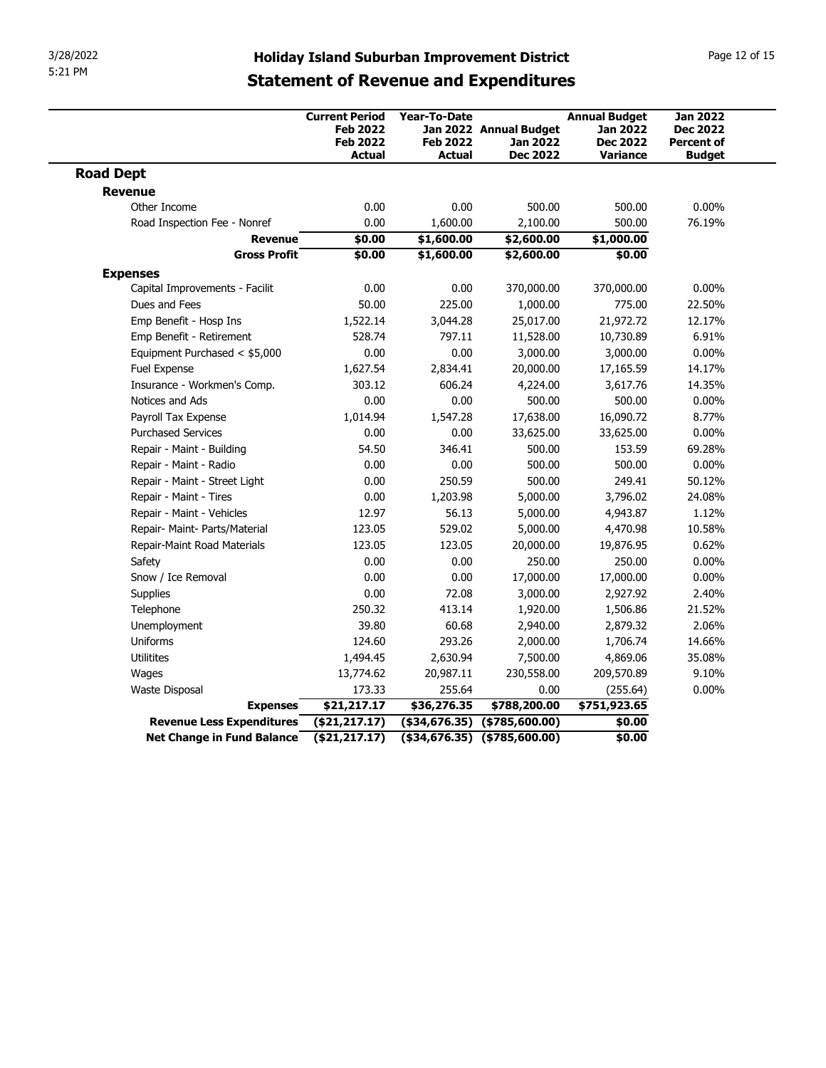| 3/28/2022                                               |                                                                                                     |                                                  |                                                              |                                                                        |                                                                          |
|---------------------------------------------------------|-----------------------------------------------------------------------------------------------------|--------------------------------------------------|--------------------------------------------------------------|------------------------------------------------------------------------|--------------------------------------------------------------------------|
| 5:21 PM                                                 | <b>Holiday Island Suburban Improvement District</b><br><b>Statement of Revenue and Expenditures</b> |                                                  |                                                              |                                                                        | Page 12 of 15                                                            |
|                                                         | <b>Current Period</b><br><b>Feb 2022</b><br><b>Feb 2022</b><br><b>Actual</b>                        | <b>Year-To-Date</b><br><b>Feb 2022</b><br>Actual | Jan 2022 Annual Budget<br><b>Jan 2022</b><br><b>Dec 2022</b> | <b>Annual Budget</b><br><b>Jan 2022</b><br><b>Dec 2022</b><br>Variance | <b>Jan 2022</b><br><b>Dec 2022</b><br><b>Percent of</b><br><b>Budget</b> |
| <b>Road Dept</b>                                        |                                                                                                     |                                                  |                                                              |                                                                        |                                                                          |
| Revenue                                                 |                                                                                                     |                                                  |                                                              |                                                                        |                                                                          |
| Other Income                                            | 0.00                                                                                                | 0.00                                             | 500.00                                                       | 500.00                                                                 | $0.00\%$                                                                 |
| Road Inspection Fee - Nonref                            | 0.00                                                                                                | 1,600.00                                         | 2,100.00                                                     | 500.00                                                                 | 76.19%                                                                   |
| Revenue<br><b>Gross Profit</b>                          | \$0.00<br>\$0.00                                                                                    | \$1,600.00<br>\$1,600.00                         | \$2,600.00<br>\$2,600.00                                     | \$1,000.00<br>\$0.00                                                   |                                                                          |
| <b>Expenses</b>                                         |                                                                                                     |                                                  |                                                              |                                                                        |                                                                          |
| Capital Improvements - Facilit                          | 0.00                                                                                                | 0.00                                             | 370,000.00                                                   | 370,000.00                                                             | $0.00\%$                                                                 |
| Dues and Fees                                           | 50.00                                                                                               | 225.00                                           | 1,000.00                                                     | 775.00                                                                 | 22.50%                                                                   |
| Emp Benefit - Hosp Ins                                  | 1,522.14                                                                                            | 3,044.28                                         | 25,017.00                                                    | 21,972.72                                                              | 12.17%                                                                   |
| Emp Benefit - Retirement                                | 528.74                                                                                              | 797.11                                           | 11,528.00                                                    | 10,730.89                                                              | 6.91%                                                                    |
| Equipment Purchased < \$5,000                           | 0.00                                                                                                | 0.00                                             | 3,000.00                                                     | 3,000.00                                                               | $0.00\%$                                                                 |
| Fuel Expense                                            | 1,627.54                                                                                            | 2,834.41                                         | 20,000.00                                                    | 17,165.59                                                              | 14.17%                                                                   |
| Insurance - Workmen's Comp.                             | 303.12                                                                                              | 606.24                                           | 4,224.00                                                     | 3,617.76                                                               | 14.35%                                                                   |
| Notices and Ads                                         | 0.00                                                                                                | 0.00                                             | 500.00                                                       | 500.00                                                                 | $0.00\%$                                                                 |
| Payroll Tax Expense                                     | 1,014.94                                                                                            | 1,547.28                                         | 17,638.00                                                    | 16,090.72                                                              | 8.77%                                                                    |
| <b>Purchased Services</b>                               | 0.00                                                                                                | 0.00                                             | 33,625.00                                                    | 33,625.00                                                              | $0.00\%$                                                                 |
| Repair - Maint - Building                               | 54.50                                                                                               | 346.41                                           | 500.00                                                       | 153.59                                                                 | 69.28%                                                                   |
| Repair - Maint - Radio<br>Repair - Maint - Street Light | 0.00<br>0.00                                                                                        | 0.00<br>250.59                                   | 500.00<br>500.00                                             | 500.00<br>249.41                                                       | $0.00\%$<br>50.12%                                                       |
| Repair - Maint - Tires                                  | 0.00                                                                                                | 1,203.98                                         | 5,000.00                                                     | 3,796.02                                                               | 24.08%                                                                   |
| Repair - Maint - Vehicles                               | 12.97                                                                                               | 56.13                                            | 5,000.00                                                     | 4,943.87                                                               | 1.12%                                                                    |
| Repair- Maint- Parts/Material                           | 123.05                                                                                              | 529.02                                           | 5,000.00                                                     | 4,470.98                                                               | 10.58%                                                                   |
| Repair-Maint Road Materials                             | 123.05                                                                                              | 123.05                                           | 20,000.00                                                    | 19,876.95                                                              | 0.62%                                                                    |
| Safety                                                  | 0.00                                                                                                | 0.00                                             | 250.00                                                       | 250.00                                                                 | $0.00\%$                                                                 |
| Snow / Ice Removal                                      | 0.00                                                                                                | 0.00                                             | 17,000.00                                                    | 17,000.00                                                              | $0.00\%$                                                                 |
| Supplies                                                | 0.00                                                                                                | 72.08                                            | 3,000.00                                                     | 2,927.92                                                               | 2.40%                                                                    |
| Telephone                                               | 250.32                                                                                              | 413.14                                           | 1,920.00                                                     | 1,506.86                                                               | 21.52%                                                                   |
| Unemployment                                            | 39.80                                                                                               | 60.68                                            | 2,940.00                                                     | 2,879.32                                                               | 2.06%                                                                    |
| Uniforms                                                | 124.60                                                                                              | 293.26                                           | 2,000.00                                                     | 1,706.74                                                               | 14.66%                                                                   |
| Utilitites                                              | 1,494.45                                                                                            | 2,630.94                                         | 7,500.00                                                     | 4,869.06                                                               | 35.08%                                                                   |
| Wages                                                   | 13,774.62                                                                                           | 20,987.11                                        | 230,558.00                                                   | 209,570.89                                                             | 9.10%                                                                    |
|                                                         | 173.33                                                                                              | 255.64                                           | 0.00                                                         | (255.64)                                                               | $0.00\%$                                                                 |
|                                                         | \$21,217.17                                                                                         | \$36,276.35                                      | \$788,200.00                                                 | \$751,923.65                                                           |                                                                          |
| Waste Disposal                                          |                                                                                                     |                                                  |                                                              |                                                                        |                                                                          |
| <b>Expenses</b><br>Revenue Less Expenditures            | $($ \$21,217.17 $)$                                                                                 |                                                  | $($ \$34,676.35) $($ \$785,600.00)                           | \$0.00                                                                 |                                                                          |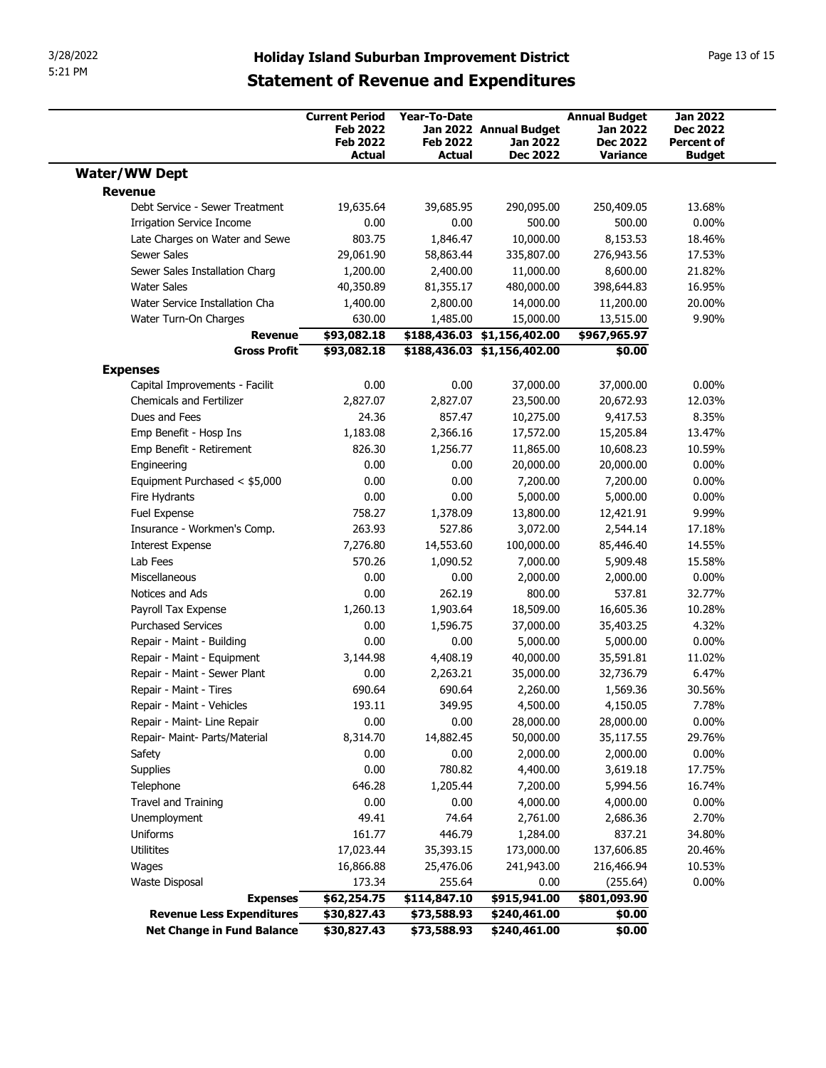|                                                         |                                                             |                                        | 3/28/2022<br>Page 13 of 15<br><b>Holiday Island Suburban Improvement District</b><br><b>Statement of Revenue and Expenditures</b> |                                                            |                                                         |  |  |  |  |
|---------------------------------------------------------|-------------------------------------------------------------|----------------------------------------|-----------------------------------------------------------------------------------------------------------------------------------|------------------------------------------------------------|---------------------------------------------------------|--|--|--|--|
|                                                         | <b>Current Period</b><br><b>Feb 2022</b><br><b>Feb 2022</b> | <b>Year-To-Date</b><br><b>Feb 2022</b> | Jan 2022 Annual Budget<br>Jan 2022                                                                                                | <b>Annual Budget</b><br><b>Jan 2022</b><br><b>Dec 2022</b> | <b>Jan 2022</b><br><b>Dec 2022</b><br><b>Percent of</b> |  |  |  |  |
|                                                         | <b>Actual</b>                                               | Actual                                 | <b>Dec 2022</b>                                                                                                                   | <b>Variance</b>                                            | <b>Budget</b>                                           |  |  |  |  |
| <b>Water/WW Dept</b><br><b>Revenue</b>                  |                                                             |                                        |                                                                                                                                   |                                                            |                                                         |  |  |  |  |
| Debt Service - Sewer Treatment                          | 19,635.64                                                   | 39,685.95                              | 290,095.00                                                                                                                        | 250,409.05                                                 | 13.68%                                                  |  |  |  |  |
| <b>Irrigation Service Income</b>                        | 0.00                                                        | 0.00                                   | 500.00                                                                                                                            | 500.00                                                     | $0.00\%$                                                |  |  |  |  |
| Late Charges on Water and Sewe                          | 803.75                                                      | 1,846.47                               | 10,000.00                                                                                                                         | 8,153.53                                                   | 18.46%                                                  |  |  |  |  |
| Sewer Sales                                             | 29,061.90                                                   | 58,863.44                              | 335,807.00                                                                                                                        | 276,943.56                                                 | 17.53%                                                  |  |  |  |  |
| Sewer Sales Installation Charg<br>Water Sales           | 1,200.00<br>40,350.89                                       | 2,400.00<br>81,355.17                  | 11,000.00<br>480,000.00                                                                                                           | 8,600.00<br>398,644.83                                     | 21.82%<br>16.95%                                        |  |  |  |  |
| Water Service Installation Cha                          | 1,400.00                                                    | 2,800.00                               | 14,000.00                                                                                                                         | 11,200.00                                                  | 20.00%                                                  |  |  |  |  |
| Water Turn-On Charges                                   | 630.00                                                      | 1,485.00                               | 15,000.00                                                                                                                         | 13,515.00                                                  | 9.90%                                                   |  |  |  |  |
| Revenue                                                 | \$93,082.18                                                 |                                        | \$188,436.03 \$1,156,402.00                                                                                                       | \$967,965.97                                               |                                                         |  |  |  |  |
| <b>Gross Profit</b>                                     | \$93,082.18                                                 |                                        | $$188,436.03$ $$1,156,402.00$                                                                                                     | \$0.00                                                     |                                                         |  |  |  |  |
| <b>Expenses</b><br>Capital Improvements - Facilit       | 0.00                                                        | 0.00                                   | 37,000.00                                                                                                                         | 37,000.00                                                  | $0.00\%$                                                |  |  |  |  |
| Chemicals and Fertilizer                                | 2,827.07                                                    | 2,827.07                               | 23,500.00                                                                                                                         | 20,672.93                                                  | 12.03%                                                  |  |  |  |  |
| Dues and Fees                                           | 24.36                                                       | 857.47                                 | 10,275.00                                                                                                                         | 9,417.53                                                   | 8.35%                                                   |  |  |  |  |
| Emp Benefit - Hosp Ins                                  | 1,183.08                                                    | 2,366.16                               | 17,572.00                                                                                                                         | 15,205.84                                                  | 13.47%                                                  |  |  |  |  |
| Emp Benefit - Retirement<br>Engineering                 | 826.30<br>0.00                                              | 1,256.77<br>0.00                       | 11,865.00<br>20,000.00                                                                                                            | 10,608.23<br>20,000.00                                     | 10.59%<br>$0.00\%$                                      |  |  |  |  |
| Equipment Purchased < \$5,000                           | 0.00                                                        | 0.00                                   | 7,200.00                                                                                                                          | 7,200.00                                                   | $0.00\%$                                                |  |  |  |  |
| Fire Hydrants                                           | 0.00                                                        | 0.00                                   | 5,000.00                                                                                                                          | 5,000.00                                                   | $0.00\%$                                                |  |  |  |  |
| Fuel Expense                                            | 758.27                                                      | 1,378.09                               | 13,800.00                                                                                                                         | 12,421.91                                                  | 9.99%                                                   |  |  |  |  |
| Insurance - Workmen's Comp.                             | 263.93                                                      | 527.86                                 | 3,072.00                                                                                                                          | 2,544.14                                                   | 17.18%                                                  |  |  |  |  |
| <b>Interest Expense</b><br>Lab Fees                     | 7,276.80<br>570.26                                          | 14,553.60<br>1,090.52                  | 100,000.00<br>7,000.00                                                                                                            | 85,446.40<br>5,909.48                                      | 14.55%<br>15.58%                                        |  |  |  |  |
| Miscellaneous                                           | 0.00                                                        | 0.00                                   | 2,000.00                                                                                                                          | 2,000.00                                                   | $0.00\%$                                                |  |  |  |  |
| Notices and Ads                                         | 0.00                                                        | 262.19                                 | 800.00                                                                                                                            | 537.81                                                     | 32.77%                                                  |  |  |  |  |
| Payroll Tax Expense                                     | 1,260.13                                                    | 1,903.64                               | 18,509.00                                                                                                                         | 16,605.36                                                  | 10.28%                                                  |  |  |  |  |
| <b>Purchased Services</b>                               | 0.00                                                        | 1,596.75                               | 37,000.00                                                                                                                         | 35,403.25                                                  | 4.32%                                                   |  |  |  |  |
| Repair - Maint - Building<br>Repair - Maint - Equipment | 0.00<br>3,144.98                                            | 0.00<br>4,408.19                       | 5,000.00<br>40,000.00                                                                                                             | 5,000.00<br>35,591.81                                      | $0.00\%$<br>11.02%                                      |  |  |  |  |
| Repair - Maint - Sewer Plant                            | 0.00                                                        | 2,263.21                               | 35,000.00                                                                                                                         | 32,736.79                                                  | 6.47%                                                   |  |  |  |  |
| Repair - Maint - Tires                                  | 690.64                                                      | 690.64                                 | 2,260.00                                                                                                                          | 1,569.36                                                   | 30.56%                                                  |  |  |  |  |
| Repair - Maint - Vehicles                               | 193.11                                                      | 349.95                                 | 4,500.00                                                                                                                          | 4,150.05                                                   | 7.78%                                                   |  |  |  |  |
| Repair - Maint- Line Repair                             | 0.00                                                        | 0.00                                   | 28,000.00                                                                                                                         | 28,000.00                                                  | $0.00\%$                                                |  |  |  |  |
| Repair- Maint- Parts/Material                           | 8,314.70                                                    | 14,882.45                              | 50,000.00                                                                                                                         | 35,117.55                                                  | 29.76%                                                  |  |  |  |  |
| Safety                                                  | 0.00                                                        | 0.00                                   | 2,000.00                                                                                                                          | 2,000.00                                                   | $0.00\%$                                                |  |  |  |  |
| Supplies<br>Telephone                                   | 0.00<br>646.28                                              | 780.82<br>1,205.44                     | 4,400.00<br>7,200.00                                                                                                              | 3,619.18<br>5,994.56                                       | 17.75%<br>16.74%                                        |  |  |  |  |
| Travel and Training                                     | 0.00                                                        | 0.00                                   | 4,000.00                                                                                                                          | 4,000.00                                                   | 0.00%                                                   |  |  |  |  |
| Unemployment                                            | 49.41                                                       | 74.64                                  | 2,761.00                                                                                                                          | 2,686.36                                                   | 2.70%                                                   |  |  |  |  |
| Uniforms                                                | 161.77                                                      | 446.79                                 | 1,284.00                                                                                                                          | 837.21                                                     | 34.80%                                                  |  |  |  |  |
| Utilitites                                              | 17,023.44                                                   | 35,393.15                              | 173,000.00                                                                                                                        | 137,606.85                                                 | 20.46%                                                  |  |  |  |  |
| Wages                                                   | 16,866.88                                                   | 25,476.06                              | 241,943.00                                                                                                                        | 216,466.94                                                 | 10.53%                                                  |  |  |  |  |
| <b>Waste Disposal</b>                                   | 173.34                                                      | 255.64                                 | 0.00                                                                                                                              | (255.64)                                                   | $0.00\%$                                                |  |  |  |  |
|                                                         | \$62,254.75                                                 | \$114,847.10                           | \$915,941.00                                                                                                                      | \$801,093.90                                               |                                                         |  |  |  |  |
| <b>Expenses</b><br><b>Revenue Less Expenditures</b>     | \$30,827.43                                                 | \$73,588.93                            | \$240,461.00                                                                                                                      | \$0.00                                                     |                                                         |  |  |  |  |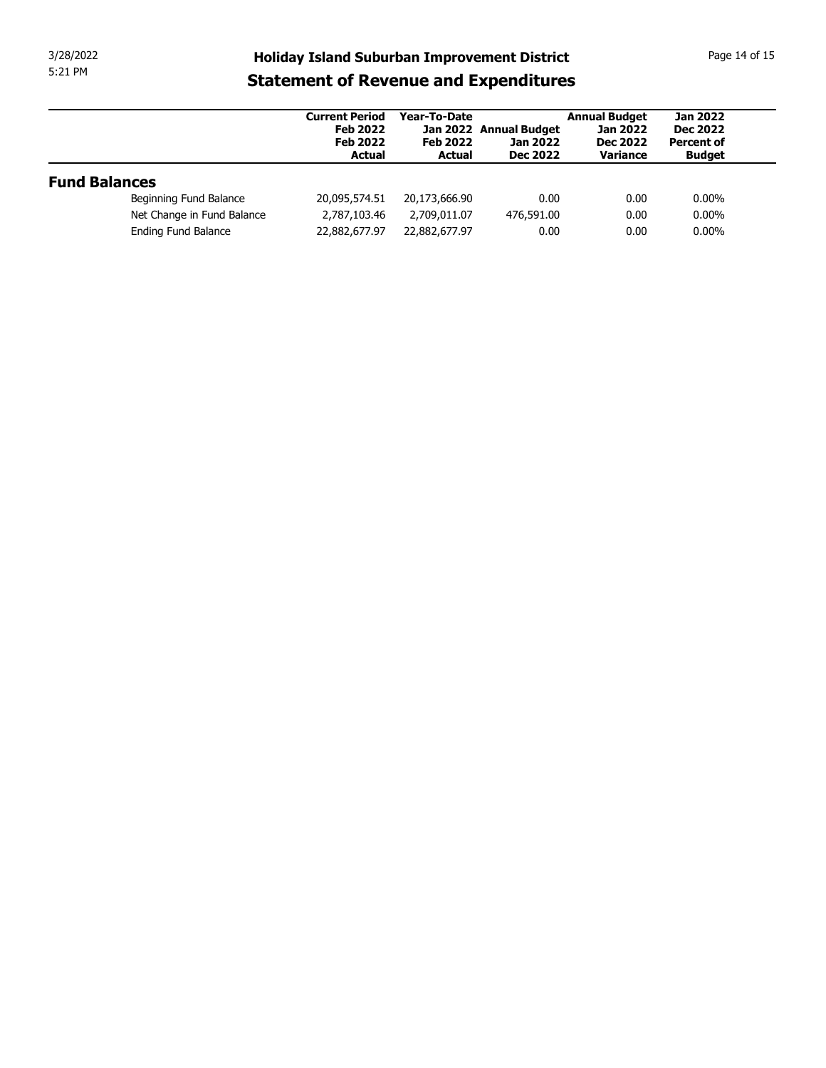| 3/28/2022<br>5:21 PM |                            | <b>Holiday Island Suburban Improvement District</b>                          |                                                  |                                                       |                                                                        | Page 14 of 15                                                            |
|----------------------|----------------------------|------------------------------------------------------------------------------|--------------------------------------------------|-------------------------------------------------------|------------------------------------------------------------------------|--------------------------------------------------------------------------|
|                      |                            | <b>Statement of Revenue and Expenditures</b>                                 |                                                  |                                                       |                                                                        |                                                                          |
|                      |                            | <b>Current Period</b><br><b>Feb 2022</b><br><b>Feb 2022</b><br><b>Actual</b> | Year-To-Date<br><b>Feb 2022</b><br><b>Actual</b> | Jan 2022 Annual Budget<br>Jan 2022<br><b>Dec 2022</b> | <b>Annual Budget</b><br><b>Jan 2022</b><br><b>Dec 2022</b><br>Variance | <b>Jan 2022</b><br><b>Dec 2022</b><br><b>Percent of</b><br><b>Budget</b> |
|                      |                            |                                                                              |                                                  |                                                       |                                                                        |                                                                          |
| <b>Fund Balances</b> |                            |                                                                              |                                                  |                                                       |                                                                        |                                                                          |
|                      | Beginning Fund Balance     | 20,095,574.51                                                                | 20,173,666.90                                    | 0.00                                                  | 0.00                                                                   | $0.00\%$                                                                 |
|                      | Net Change in Fund Balance | 2,787,103.46                                                                 | 2,709,011.07                                     | 476,591.00                                            | 0.00                                                                   | $0.00\%$                                                                 |
|                      |                            |                                                                              |                                                  |                                                       |                                                                        |                                                                          |
|                      | Ending Fund Balance        | 22,882,677.97                                                                | 22,882,677.97                                    | 0.00                                                  | 0.00                                                                   | $0.00\%$                                                                 |
|                      |                            |                                                                              |                                                  |                                                       |                                                                        |                                                                          |
|                      |                            |                                                                              |                                                  |                                                       |                                                                        |                                                                          |